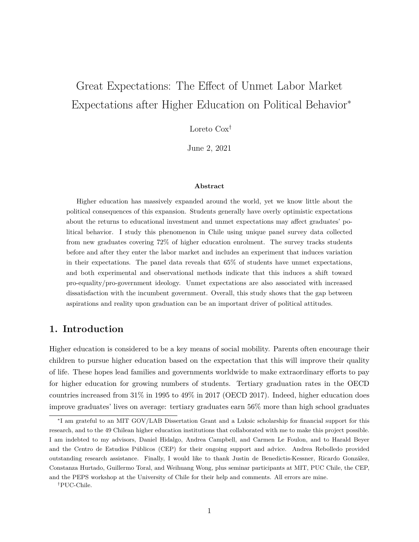# Great Expectations: The Effect of Unmet Labor Market Expectations after Higher Education on Political Behavior<sup>∗</sup>

Loreto Cox†

June 2, 2021

#### **Abstract**

Higher education has massively expanded around the world, yet we know little about the political consequences of this expansion. Students generally have overly optimistic expectations about the returns to educational investment and unmet expectations may affect graduates' political behavior. I study this phenomenon in Chile using unique panel survey data collected from new graduates covering 72% of higher education enrolment. The survey tracks students before and after they enter the labor market and includes an experiment that induces variation in their expectations. The panel data reveals that 65% of students have unmet expectations, and both experimental and observational methods indicate that this induces a shift toward pro-equality/pro-government ideology. Unmet expectations are also associated with increased dissatisfaction with the incumbent government. Overall, this study shows that the gap between aspirations and reality upon graduation can be an important driver of political attitudes.

## **1. Introduction**

Higher education is considered to be a key means of social mobility. Parents often encourage their children to pursue higher education based on the expectation that this will improve their quality of life. These hopes lead families and governments worldwide to make extraordinary efforts to pay for higher education for growing numbers of students. Tertiary graduation rates in the OECD countries increased from 31% in 1995 to 49% in 2017 (OECD 2017). Indeed, higher education does improve graduates' lives on average: tertiary graduates earn 56% more than high school graduates

<sup>∗</sup> I am grateful to an MIT GOV/LAB Dissertation Grant and a Luksic scholarship for financial support for this research, and to the 49 Chilean higher education institutions that collaborated with me to make this project possible. I am indebted to my advisors, Daniel Hidalgo, Andrea Campbell, and Carmen Le Foulon, and to Harald Beyer and the Centro de Estudios Públicos (CEP) for their ongoing support and advice. Andrea Rebolledo provided outstanding research assistance. Finally, I would like to thank Justin de Benedictis-Kessner, Ricardo González, Constanza Hurtado, Guillermo Toral, and Weihuang Wong, plus seminar participants at MIT, PUC Chile, the CEP, and the PEPS workshop at the University of Chile for their help and comments. All errors are mine.

<sup>†</sup>PUC-Chile.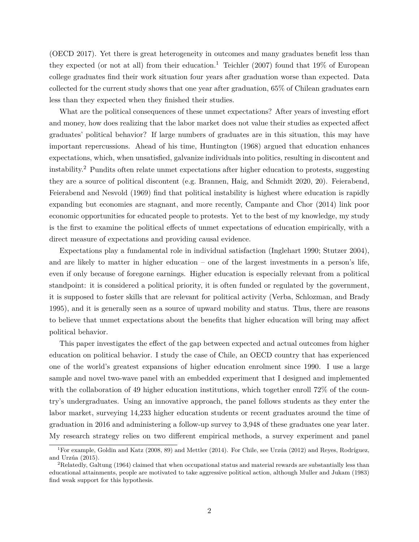(OECD 2017). Yet there is great heterogeneity in outcomes and many graduates benefit less than they expected (or not at all) from their education.<sup>1</sup> Teichler (2007) found that  $19\%$  of European college graduates find their work situation four years after graduation worse than expected. Data collected for the current study shows that one year after graduation, 65% of Chilean graduates earn less than they expected when they finished their studies.

What are the political consequences of these unmet expectations? After years of investing effort and money, how does realizing that the labor market does not value their studies as expected affect graduates' political behavior? If large numbers of graduates are in this situation, this may have important repercussions. Ahead of his time, Huntington (1968) argued that education enhances expectations, which, when unsatisfied, galvanize individuals into politics, resulting in discontent and instability.2 Pundits often relate unmet expectations after higher education to protests, suggesting they are a source of political discontent (e.g. Brannen, Haig, and Schmidt 2020, 20). Feierabend, Feierabend and Nesvold (1969) find that political instability is highest where education is rapidly expanding but economies are stagnant, and more recently, Campante and Chor (2014) link poor economic opportunities for educated people to protests. Yet to the best of my knowledge, my study is the first to examine the political effects of unmet expectations of education empirically, with a direct measure of expectations and providing causal evidence.

Expectations play a fundamental role in individual satisfaction (Inglehart 1990; Stutzer 2004), and are likely to matter in higher education – one of the largest investments in a person's life, even if only because of foregone earnings. Higher education is especially relevant from a political standpoint: it is considered a political priority, it is often funded or regulated by the government, it is supposed to foster skills that are relevant for political activity (Verba, Schlozman, and Brady 1995), and it is generally seen as a source of upward mobility and status. Thus, there are reasons to believe that unmet expectations about the benefits that higher education will bring may affect political behavior.

This paper investigates the effect of the gap between expected and actual outcomes from higher education on political behavior. I study the case of Chile, an OECD country that has experienced one of the world's greatest expansions of higher education enrolment since 1990. I use a large sample and novel two-wave panel with an embedded experiment that I designed and implemented with the collaboration of 49 higher education institutions, which together enroll 72% of the country's undergraduates. Using an innovative approach, the panel follows students as they enter the labor market, surveying 14,233 higher education students or recent graduates around the time of graduation in 2016 and administering a follow-up survey to 3,948 of these graduates one year later. My research strategy relies on two different empirical methods, a survey experiment and panel

<sup>1</sup>For example, Goldin and Katz (2008, 89) and Mettler (2014). For Chile, see Urzúa (2012) and Reyes, Rodríguez, and Urzúa (2015).

<sup>2</sup>Relatedly, Galtung (1964) claimed that when occupational status and material rewards are substantially less than educational attainments, people are motivated to take aggressive political action, although Muller and Jukam (1983) find weak support for this hypothesis.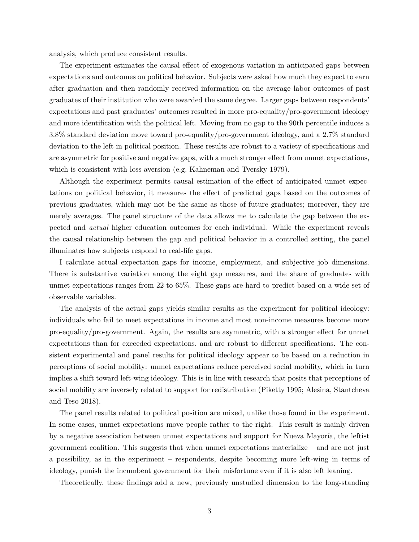analysis, which produce consistent results.

The experiment estimates the causal effect of exogenous variation in anticipated gaps between expectations and outcomes on political behavior. Subjects were asked how much they expect to earn after graduation and then randomly received information on the average labor outcomes of past graduates of their institution who were awarded the same degree. Larger gaps between respondents' expectations and past graduates' outcomes resulted in more pro-equality/pro-government ideology and more identification with the political left. Moving from no gap to the 90th percentile induces a 3.8% standard deviation move toward pro-equality/pro-government ideology, and a 2.7% standard deviation to the left in political position. These results are robust to a variety of specifications and are asymmetric for positive and negative gaps, with a much stronger effect from unmet expectations, which is consistent with loss aversion (e.g. Kahneman and Tversky 1979).

Although the experiment permits causal estimation of the effect of anticipated unmet expectations on political behavior, it measures the effect of predicted gaps based on the outcomes of previous graduates, which may not be the same as those of future graduates; moreover, they are merely averages. The panel structure of the data allows me to calculate the gap between the expected and *actual* higher education outcomes for each individual. While the experiment reveals the causal relationship between the gap and political behavior in a controlled setting, the panel illuminates how subjects respond to real-life gaps.

I calculate actual expectation gaps for income, employment, and subjective job dimensions. There is substantive variation among the eight gap measures, and the share of graduates with unmet expectations ranges from 22 to 65%. These gaps are hard to predict based on a wide set of observable variables.

The analysis of the actual gaps yields similar results as the experiment for political ideology: individuals who fail to meet expectations in income and most non-income measures become more pro-equality/pro-government. Again, the results are asymmetric, with a stronger effect for unmet expectations than for exceeded expectations, and are robust to different specifications. The consistent experimental and panel results for political ideology appear to be based on a reduction in perceptions of social mobility: unmet expectations reduce perceived social mobility, which in turn implies a shift toward left-wing ideology. This is in line with research that posits that perceptions of social mobility are inversely related to support for redistribution (Piketty 1995; Alesina, Stantcheva and Teso 2018).

The panel results related to political position are mixed, unlike those found in the experiment. In some cases, unmet expectations move people rather to the right. This result is mainly driven by a negative association between unmet expectations and support for Nueva Mayoría, the leftist government coalition. This suggests that when unmet expectations materialize – and are not just a possibility, as in the experiment – respondents, despite becoming more left-wing in terms of ideology, punish the incumbent government for their misfortune even if it is also left leaning.

Theoretically, these findings add a new, previously unstudied dimension to the long-standing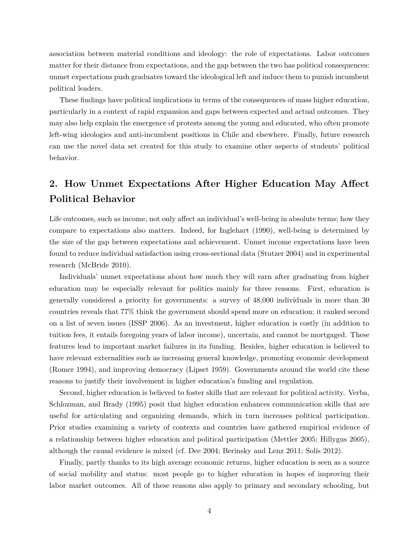association between material conditions and ideology: the role of expectations. Labor outcomes matter for their distance from expectations, and the gap between the two has political consequences: unmet expectations push graduates toward the ideological left and induce them to punish incumbent political leaders.

These findings have political implications in terms of the consequences of mass higher education, particularly in a context of rapid expansion and gaps between expected and actual outcomes. They may also help explain the emergence of protests among the young and educated, who often promote left-wing ideologies and anti-incumbent positions in Chile and elsewhere. Finally, future research can use the novel data set created for this study to examine other aspects of students' political behavior.

## **2. How Unmet Expectations After Higher Education May Affect Political Behavior**

Life outcomes, such as income, not only affect an individual's well-being in absolute terms; how they compare to expectations also matters. Indeed, for Inglehart (1990), well-being is determined by the size of the gap between expectations and achievement. Unmet income expectations have been found to reduce individual satisfaction using cross-sectional data (Stutzer 2004) and in experimental research (McBride 2010).

Individuals' unmet expectations about how much they will earn after graduating from higher education may be especially relevant for politics mainly for three reasons. First, education is generally considered a priority for governments: a survey of 48,000 individuals in more than 30 countries reveals that 77% think the government should spend more on education; it ranked second on a list of seven issues (ISSP 2006). As an investment, higher education is costly (in addition to tuition fees, it entails foregoing years of labor income), uncertain, and cannot be mortgaged. These features lead to important market failures in its funding. Besides, higher education is believed to have relevant externalities such as increasing general knowledge, promoting economic development (Romer 1994), and improving democracy (Lipset 1959). Governments around the world cite these reasons to justify their involvement in higher education's funding and regulation.

Second, higher education is believed to foster skills that are relevant for political activity. Verba, Schlozman, and Brady (1995) posit that higher education enhances communication skills that are useful for articulating and organizing demands, which in turn increases political participation. Prior studies examining a variety of contexts and countries have gathered empirical evidence of a relationship between higher education and political participation (Mettler 2005; Hillygus 2005), although the causal evidence is mixed (cf. Dee 2004; Berinsky and Lenz 2011; Solís 2012).

Finally, partly thanks to its high average economic returns, higher education is seen as a source of social mobility and status: most people go to higher education in hopes of improving their labor market outcomes. All of these reasons also apply to primary and secondary schooling, but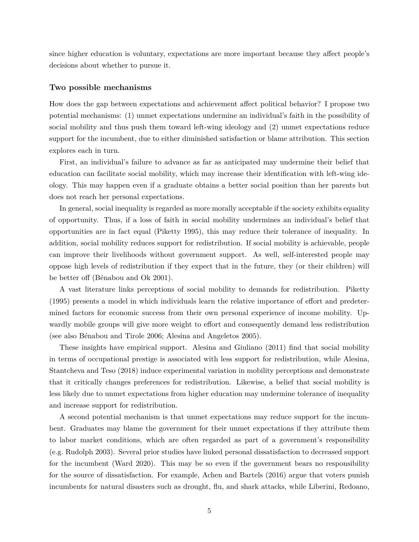since higher education is voluntary, expectations are more important because they affect people's decisions about whether to pursue it.

#### **Two possible mechanisms**

How does the gap between expectations and achievement affect political behavior? I propose two potential mechanisms: (1) unmet expectations undermine an individual's faith in the possibility of social mobility and thus push them toward left-wing ideology and (2) unmet expectations reduce support for the incumbent, due to either diminished satisfaction or blame attribution. This section explores each in turn.

First, an individual's failure to advance as far as anticipated may undermine their belief that education can facilitate social mobility, which may increase their identification with left-wing ideology. This may happen even if a graduate obtains a better social position than her parents but does not reach her personal expectations.

In general, social inequality is regarded as more morally acceptable if the society exhibits equality of opportunity. Thus, if a loss of faith in social mobility undermines an individual's belief that opportunities are in fact equal (Piketty 1995), this may reduce their tolerance of inequality. In addition, social mobility reduces support for redistribution. If social mobility is achievable, people can improve their livelihoods without government support. As well, self-interested people may oppose high levels of redistribution if they expect that in the future, they (or their children) will be better off (Bénabou and Ok 2001).

A vast literature links perceptions of social mobility to demands for redistribution. Piketty (1995) presents a model in which individuals learn the relative importance of effort and predetermined factors for economic success from their own personal experience of income mobility. Upwardly mobile groups will give more weight to effort and consequently demand less redistribution (see also Bénabou and Tirole 2006; Alesina and Angeletos 2005).

These insights have empirical support. Alesina and Giuliano (2011) find that social mobility in terms of occupational prestige is associated with less support for redistribution, while Alesina, Stantcheva and Teso (2018) induce experimental variation in mobility perceptions and demonstrate that it critically changes preferences for redistribution. Likewise, a belief that social mobility is less likely due to unmet expectations from higher education may undermine tolerance of inequality and increase support for redistribution.

A second potential mechanism is that unmet expectations may reduce support for the incumbent. Graduates may blame the government for their unmet expectations if they attribute them to labor market conditions, which are often regarded as part of a government's responsibility (e.g. Rudolph 2003). Several prior studies have linked personal dissatisfaction to decreased support for the incumbent (Ward 2020). This may be so even if the government bears no responsibility for the source of dissatisfaction. For example, Achen and Bartels (2016) argue that voters punish incumbents for natural disasters such as drought, flu, and shark attacks, while Liberini, Redoano,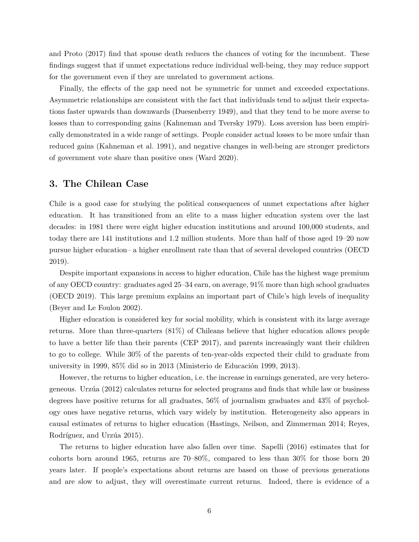and Proto (2017) find that spouse death reduces the chances of voting for the incumbent. These findings suggest that if unmet expectations reduce individual well-being, they may reduce support for the government even if they are unrelated to government actions.

Finally, the effects of the gap need not be symmetric for unmet and exceeded expectations. Asymmetric relationships are consistent with the fact that individuals tend to adjust their expectations faster upwards than downwards (Duesenberry 1949), and that they tend to be more averse to losses than to corresponding gains (Kahneman and Tversky 1979). Loss aversion has been empirically demonstrated in a wide range of settings. People consider actual losses to be more unfair than reduced gains (Kahneman et al. 1991), and negative changes in well-being are stronger predictors of government vote share than positive ones (Ward 2020).

## **3. The Chilean Case**

Chile is a good case for studying the political consequences of unmet expectations after higher education. It has transitioned from an elite to a mass higher education system over the last decades: in 1981 there were eight higher education institutions and around 100,000 students, and today there are 141 institutions and 1.2 million students. More than half of those aged 19–20 now pursue higher education– a higher enrollment rate than that of several developed countries (OECD 2019).

Despite important expansions in access to higher education, Chile has the highest wage premium of any OECD country: graduates aged 25–34 earn, on average, 91% more than high school graduates (OECD 2019). This large premium explains an important part of Chile's high levels of inequality (Beyer and Le Foulon 2002).

Higher education is considered key for social mobility, which is consistent with its large average returns. More than three-quarters (81%) of Chileans believe that higher education allows people to have a better life than their parents (CEP 2017), and parents increasingly want their children to go to college. While 30% of the parents of ten-year-olds expected their child to graduate from university in 1999, 85% did so in 2013 (Ministerio de Educación 1999, 2013).

However, the returns to higher education, i.e. the increase in earnings generated, are very heterogeneous. Urzúa (2012) calculates returns for selected programs and finds that while law or business degrees have positive returns for all graduates, 56% of journalism graduates and 43% of psychology ones have negative returns, which vary widely by institution. Heterogeneity also appears in causal estimates of returns to higher education (Hastings, Neilson, and Zimmerman 2014; Reyes, Rodríguez, and Urzúa 2015).

The returns to higher education have also fallen over time. Sapelli (2016) estimates that for cohorts born around 1965, returns are 70–80%, compared to less than 30% for those born 20 years later. If people's expectations about returns are based on those of previous generations and are slow to adjust, they will overestimate current returns. Indeed, there is evidence of a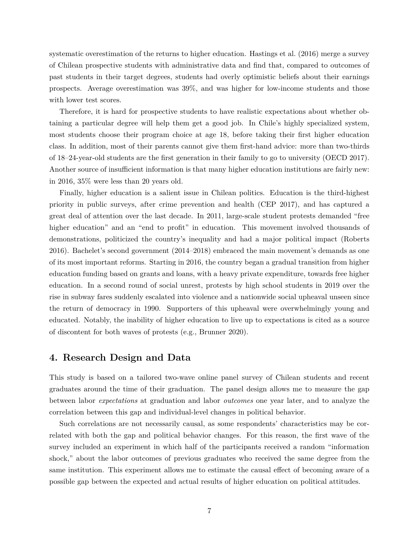systematic overestimation of the returns to higher education. Hastings et al. (2016) merge a survey of Chilean prospective students with administrative data and find that, compared to outcomes of past students in their target degrees, students had overly optimistic beliefs about their earnings prospects. Average overestimation was 39%, and was higher for low-income students and those with lower test scores.

Therefore, it is hard for prospective students to have realistic expectations about whether obtaining a particular degree will help them get a good job. In Chile's highly specialized system, most students choose their program choice at age 18, before taking their first higher education class. In addition, most of their parents cannot give them first-hand advice: more than two-thirds of 18–24-year-old students are the first generation in their family to go to university (OECD 2017). Another source of insufficient information is that many higher education institutions are fairly new: in 2016, 35% were less than 20 years old.

Finally, higher education is a salient issue in Chilean politics. Education is the third-highest priority in public surveys, after crime prevention and health (CEP 2017), and has captured a great deal of attention over the last decade. In 2011, large-scale student protests demanded "free higher education" and an "end to profit" in education. This movement involved thousands of demonstrations, politicized the country's inequality and had a major political impact (Roberts 2016). Bachelet's second government (2014–2018) embraced the main movement's demands as one of its most important reforms. Starting in 2016, the country began a gradual transition from higher education funding based on grants and loans, with a heavy private expenditure, towards free higher education. In a second round of social unrest, protests by high school students in 2019 over the rise in subway fares suddenly escalated into violence and a nationwide social upheaval unseen since the return of democracy in 1990. Supporters of this upheaval were overwhelmingly young and educated. Notably, the inability of higher education to live up to expectations is cited as a source of discontent for both waves of protests (e.g., Brunner 2020).

### **4. Research Design and Data**

This study is based on a tailored two-wave online panel survey of Chilean students and recent graduates around the time of their graduation. The panel design allows me to measure the gap between labor *expectations* at graduation and labor *outcomes* one year later, and to analyze the correlation between this gap and individual-level changes in political behavior.

Such correlations are not necessarily causal, as some respondents' characteristics may be correlated with both the gap and political behavior changes. For this reason, the first wave of the survey included an experiment in which half of the participants received a random "information shock," about the labor outcomes of previous graduates who received the same degree from the same institution. This experiment allows me to estimate the causal effect of becoming aware of a possible gap between the expected and actual results of higher education on political attitudes.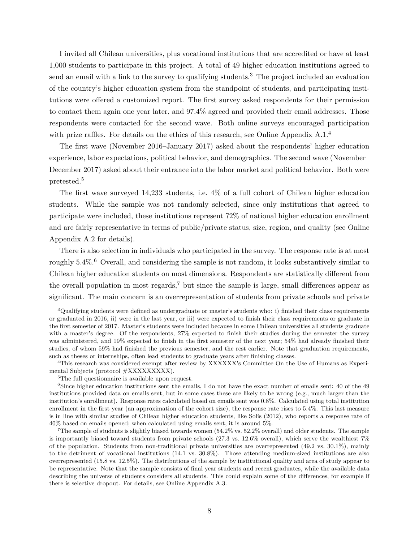I invited all Chilean universities, plus vocational institutions that are accredited or have at least 1,000 students to participate in this project. A total of 49 higher education institutions agreed to send an email with a link to the survey to qualifying students.<sup>3</sup> The project included an evaluation of the country's higher education system from the standpoint of students, and participating institutions were offered a customized report. The first survey asked respondents for their permission to contact them again one year later, and 97.4% agreed and provided their email addresses. Those respondents were contacted for the second wave. Both online surveys encouraged participation with prize raffles. For details on the ethics of this research, see Online Appendix A.1.<sup>4</sup>

The first wave (November 2016–January 2017) asked about the respondents' higher education experience, labor expectations, political behavior, and demographics. The second wave (November– December 2017) asked about their entrance into the labor market and political behavior. Both were pretested.5

The first wave surveyed 14,233 students, i.e. 4% of a full cohort of Chilean higher education students. While the sample was not randomly selected, since only institutions that agreed to participate were included, these institutions represent 72% of national higher education enrollment and are fairly representative in terms of public/private status, size, region, and quality (see Online Appendix A.2 for details).

There is also selection in individuals who participated in the survey. The response rate is at most roughly 5.4%.<sup>6</sup> Overall, and considering the sample is not random, it looks substantively similar to Chilean higher education students on most dimensions. Respondents are statistically different from the overall population in most regards,<sup>7</sup> but since the sample is large, small differences appear as significant. The main concern is an overrepresentation of students from private schools and private

4This research was considered exempt after review by XXXXXX's Committee On the Use of Humans as Experimental Subjects (protocol #XXXXXXXXX).

<sup>5</sup>The full questionnaire is available upon request.

<sup>6</sup>Since higher education institutions sent the emails, I do not have the exact number of emails sent: 40 of the 49 institutions provided data on emails sent, but in some cases these are likely to be wrong (e.g., much larger than the institution's enrollment). Response rates calculated based on emails sent was 0.8%. Calculated using total institution enrollment in the first year (an approximation of the cohort size), the response rate rises to 5.4%. This last measure is in line with similar studies of Chilean higher education students, like Solís (2012), who reports a response rate of 40% based on emails opened; when calculated using emails sent, it is around 5%.

<sup>7</sup>The sample of students is slightly biased towards women  $(54.2\% \text{ vs. } 52.2\% \text{ overall})$  and older students. The sample is importantly biased toward students from private schools  $(27.3 \text{ vs. } 12.6\% \text{ overall})$ , which serve the wealthiest  $7\%$ of the population. Students from non-traditional private universities are overrepresented (49.2 vs. 30.1%), mainly to the detriment of vocational institutions (14.1 vs. 30.8%). Those attending medium-sized institutions are also overrepresented (15.8 vs. 12.5%). The distributions of the sample by institutional quality and area of study appear to be representative. Note that the sample consists of final year students and recent graduates, while the available data describing the universe of students considers all students. This could explain some of the differences, for example if there is selective dropout. For details, see Online Appendix A.3.

<sup>3</sup>Qualifying students were defined as undergraduate or master's students who: i) finished their class requirements or graduated in 2016, ii) were in the last year, or iii) were expected to finish their class requirements or graduate in the first semester of 2017. Master's students were included because in some Chilean universities all students graduate with a master's degree. Of the respondents, 27% expected to finish their studies during the semester the survey was administered, and 19% expected to finish in the first semester of the next year; 54% had already finished their studies, of whom 59% had finished the previous semester, and the rest earlier. Note that graduation requirements, such as theses or internships, often lead students to graduate years after finishing classes.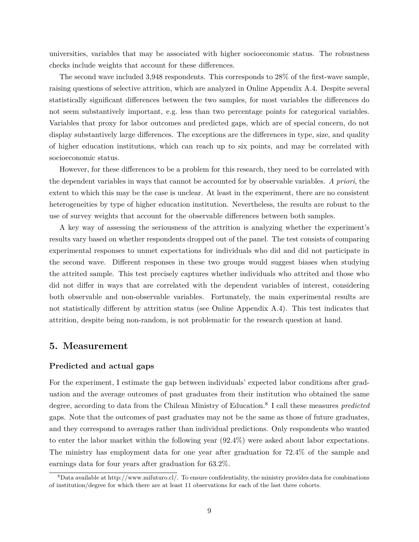universities, variables that may be associated with higher socioeconomic status. The robustness checks include weights that account for these differences.

The second wave included 3,948 respondents. This corresponds to 28% of the first-wave sample, raising questions of selective attrition, which are analyzed in Online Appendix A.4. Despite several statistically significant differences between the two samples, for most variables the differences do not seem substantively important, e.g. less than two percentage points for categorical variables. Variables that proxy for labor outcomes and predicted gaps, which are of special concern, do not display substantively large differences. The exceptions are the differences in type, size, and quality of higher education institutions, which can reach up to six points, and may be correlated with socioeconomic status.

However, for these differences to be a problem for this research, they need to be correlated with the dependent variables in ways that cannot be accounted for by observable variables. *A priori*, the extent to which this may be the case is unclear. At least in the experiment, there are no consistent heterogeneities by type of higher education institution. Nevertheless, the results are robust to the use of survey weights that account for the observable differences between both samples.

A key way of assessing the seriousness of the attrition is analyzing whether the experiment's results vary based on whether respondents dropped out of the panel. The test consists of comparing experimental responses to unmet expectations for individuals who did and did not participate in the second wave. Different responses in these two groups would suggest biases when studying the attrited sample. This test precisely captures whether individuals who attrited and those who did not differ in ways that are correlated with the dependent variables of interest, considering both observable and non-observable variables. Fortunately, the main experimental results are not statistically different by attrition status (see Online Appendix A.4). This test indicates that attrition, despite being non-random, is not problematic for the research question at hand.

## **5. Measurement**

#### **Predicted and actual gaps**

For the experiment, I estimate the gap between individuals' expected labor conditions after graduation and the average outcomes of past graduates from their institution who obtained the same degree, according to data from the Chilean Ministry of Education.8 I call these measures *predicted* gaps. Note that the outcomes of past graduates may not be the same as those of future graduates, and they correspond to averages rather than individual predictions. Only respondents who wanted to enter the labor market within the following year (92.4%) were asked about labor expectations. The ministry has employment data for one year after graduation for 72.4% of the sample and earnings data for four years after graduation for 63.2%.

<sup>8</sup>Data available at <http://www.mifuturo.cl/>. To ensure confidentiality, the ministry provides data for combinations of institution/degree for which there are at least 11 observations for each of the last three cohorts.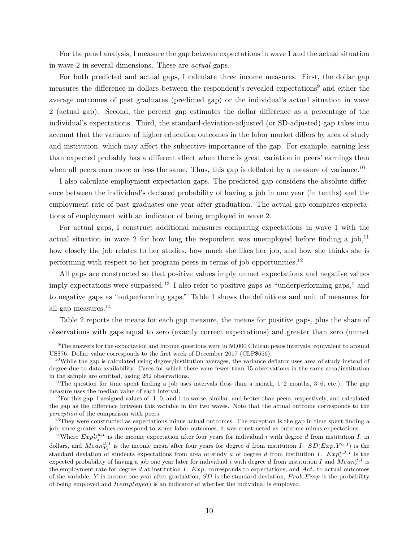For the panel analysis, I measure the gap between expectations in wave 1 and the actual situation in wave 2 in several dimensions. These are *actual* gaps.

For both predicted and actual gaps, I calculate three income measures. First, the dollar gap measures the difference in dollars between the respondent's revealed expectations9 and either the average outcomes of past graduates (predicted gap) or the individual's actual situation in wave 2 (actual gap). Second, the percent gap estimates the dollar difference as a percentage of the individual's expectations. Third, the standard-deviation-adjusted (or SD-adjusted) gap takes into account that the variance of higher education outcomes in the labor market differs by area of study and institution, which may affect the subjective importance of the gap. For example, earning less than expected probably has a different effect when there is great variation in peers' earnings than when all peers earn more or less the same. Thus, this gap is deflated by a measure of variance.<sup>10</sup>

I also calculate employment expectation gaps. The predicted gap considers the absolute difference between the individual's declared probability of having a job in one year (in tenths) and the employment rate of past graduates one year after graduation. The actual gap compares expectations of employment with an indicator of being employed in wave 2.

For actual gaps, I construct additional measures comparing expectations in wave 1 with the actual situation in wave 2 for how long the respondent was unemployed before finding a  $job$ ,<sup>11</sup> how closely the job relates to her studies, how much she likes her job, and how she thinks she is performing with respect to her program peers in terms of job opportunities.<sup>12</sup>

All gaps are constructed so that positive values imply unmet expectations and negative values imply expectations were surpassed.<sup>13</sup> I also refer to positive gaps as "underperforming gaps," and to negative gaps as "outperforming gaps." Table 1 shows the definitions and unit of measures for all gap measures.14

Table 2 reports the means for each gap measure, the means for positive gaps, plus the share of observations with gaps equal to zero (exactly correct expectations) and greater than zero (unmet

<sup>9</sup>The answers for the expectation and income questions were in 50,000 Chilean pesos intervals, equivalent to around US\$76. Dollar value corresponds to the first week of December 2017 (CLP\$656).

<sup>10</sup>While the gap is calculated using degree/institution averages, the variance deflator uses area of study instead of degree due to data availability. Cases for which there were fewer than 15 observations in the same area/institution in the sample are omitted, losing 262 observations.

<sup>&</sup>lt;sup>11</sup>The question for time spent finding a job uses intervals (less than a month,  $1-2$  months,  $3-6$ , etc.). The gap measure uses the median value of each interval.

 $12$ For this gap, I assigned values of -1, 0, and 1 to worse, similar, and better than peers, respectively, and calculated the gap as the difference between this variable in the two waves. Note that the actual outcome corresponds to the *perception* of the comparison with peers.

<sup>&</sup>lt;sup>13</sup>They were constructed as expectations minus actual outcomes. The exception is the gap in time spent finding a job; since greater values correspond to worse labor outcomes, it was constructed as outcome minus expectations.

<sup>&</sup>lt;sup>14</sup>Where  $Exp_{Y_4}^{i,d,I}$  is the income expectation after four years for individual i with degree d from institution I, in dollars, and  $Mean_{Y_4}^{d,I}$  is the income mean after four years for degree d from institution I.  $SD(Exp.Y^{a,I})$  is the standard deviation of students expectations from area of study a of degree d from institution I.  $Exp_e^{i,d,I}$  is the expected probability of having a job one year later for individual i with degree d from institution I and  $Mean_e^{d,I}$  is the employment rate for degree  $d$  at institution  $I$ .  $Exp$  corresponds to expectations, and  $Act$ . to actual outcomes of the variable. Y is income one year after graduation,  $SD$  is the standard deviation,  $Prob. Emp$  is the probability of being employed and  $I$ (*employed*) is an indicator of whether the individual is employed.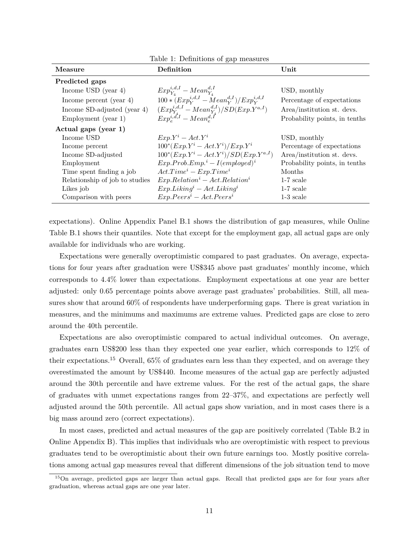| Measure                        | Definition                                                                                           | $\bold{Unit}$                 |
|--------------------------------|------------------------------------------------------------------------------------------------------|-------------------------------|
| Predicted gaps                 |                                                                                                      |                               |
| Income USD (year $4$ )         | $Exp_{Y_4}^{i,d,I} - Mean_{Y_4}^{d,I}$<br>100 * $(Exp_{Y}^{i,d,I} - Mean_{Y}^{d,I})/Exp_{Y}^{i,d,I}$ | USD, monthly                  |
| Income percent (year $4$ )     |                                                                                                      | Percentage of expectations    |
| Income SD-adjusted (year 4)    | $\frac{ (Exp_{Y_A}^{i,d,I} - Mean_{Y_A}^{d,I})}{ Exp_{e}^{i,d,I} - Mean_{e}^{d,I}}$                  | Area/institution st. devs.    |
| Employment (year 1)            |                                                                                                      | Probability points, in tenths |
| Actual gaps (year 1)           |                                                                                                      |                               |
| Income USD                     | $Exp.Y^i - Act.Y^i$                                                                                  | USD, monthly                  |
| Income percent                 | $100^*(Exp.Y^i - Act.Y^i)/Exp.Y^i$                                                                   | Percentage of expectations    |
| Income SD-adjusted             | $100^*(Exp.Y^i - Act.Y^i)/SD(Exp.Y^{a,I})$                                                           | Area/institution st. devs.    |
| Employment                     | $Exp. Prob. Emp.^i - I(employed)^i$                                                                  | Probability points, in tenths |
| Time spent finding a job       | $Act. Timei - Exp. Timei$                                                                            | Months                        |
| Relationship of job to studies | $Exp. Relationi - Act. Relationi$                                                                    | $1-7$ scale                   |
| Likes job                      | $Exp.Liking^i - Act.Liking^i$                                                                        | $1-7$ scale                   |
| Comparison with peers          | $Exp.Peersi - Act.Peersi$                                                                            | $1-3$ scale                   |

Table 1: Definitions of gap

expectations). Online Appendix Panel B.1 shows the distribution of gap measures, while Online Table B.1 shows their quantiles. Note that except for the employment gap, all actual gaps are only available for individuals who are working.

Expectations were generally overoptimistic compared to past graduates. On average, expectations for four years after graduation were US\$345 above past graduates' monthly income, which corresponds to 4.4% lower than expectations. Employment expectations at one year are better adjusted: only 0.65 percentage points above average past graduates' probabilities. Still, all measures show that around 60% of respondents have underperforming gaps. There is great variation in measures, and the minimums and maximums are extreme values. Predicted gaps are close to zero around the 40th percentile.

Expectations are also overoptimistic compared to actual individual outcomes. On average, graduates earn US\$200 less than they expected one year earlier, which corresponds to 12% of their expectations.15 Overall, 65% of graduates earn less than they expected, and on average they overestimated the amount by US\$440. Income measures of the actual gap are perfectly adjusted around the 30th percentile and have extreme values. For the rest of the actual gaps, the share of graduates with unmet expectations ranges from 22–37%, and expectations are perfectly well adjusted around the 50th percentile. All actual gaps show variation, and in most cases there is a big mass around zero (correct expectations).

In most cases, predicted and actual measures of the gap are positively correlated (Table B.2 in Online Appendix B). This implies that individuals who are overoptimistic with respect to previous graduates tend to be overoptimistic about their own future earnings too. Mostly positive correlations among actual gap measures reveal that different dimensions of the job situation tend to move

<sup>15</sup>On average, predicted gaps are larger than actual gaps. Recall that predicted gaps are for four years after graduation, whereas actual gaps are one year later.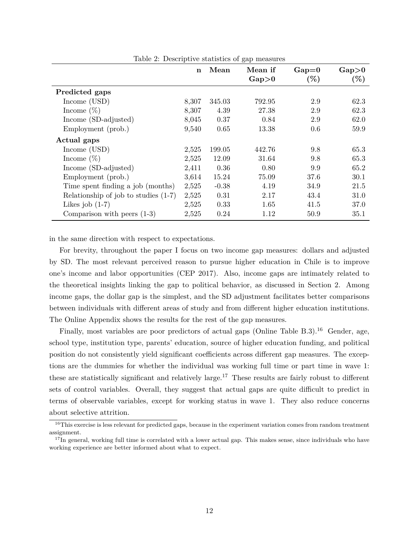| $\frac{1}{2}$ and $\frac{1}{2}$ . Descriptive statistics of gap incastries | n     | Mean    | Mean if     | $Gap=0$ | $Gap\!>\!0$ |
|----------------------------------------------------------------------------|-------|---------|-------------|---------|-------------|
|                                                                            |       |         | $Gap\geq 0$ | $(\%)$  | $(\%)$      |
| Predicted gaps                                                             |       |         |             |         |             |
| Income $(USD)$                                                             | 8,307 | 345.03  | 792.95      | 2.9     | 62.3        |
| Income $(\%)$                                                              | 8,307 | 4.39    | 27.38       | 2.9     | 62.3        |
| Income (SD-adjusted)                                                       | 8,045 | 0.37    | 0.84        | 2.9     | 62.0        |
| Employment (prob.)                                                         | 9,540 | 0.65    | 13.38       | 0.6     | 59.9        |
| Actual gaps                                                                |       |         |             |         |             |
| Income (USD)                                                               | 2,525 | 199.05  | 442.76      | 9.8     | 65.3        |
| Income $(\%)$                                                              | 2,525 | 12.09   | 31.64       | 9.8     | 65.3        |
| Income (SD-adjusted)                                                       | 2,411 | 0.36    | 0.80        | 9.9     | 65.2        |
| Employment (prob.)                                                         | 3,614 | 15.24   | 75.09       | 37.6    | 30.1        |
| Time spent finding a job (months)                                          | 2,525 | $-0.38$ | 4.19        | 34.9    | 21.5        |
| Relationship of job to studies $(1-7)$                                     | 2,525 | 0.31    | 2.17        | 43.4    | 31.0        |
| Likes job $(1-7)$                                                          | 2,525 | 0.33    | 1.65        | 41.5    | 37.0        |
| Comparison with peers $(1-3)$                                              | 2,525 | 0.24    | 1.12        | 50.9    | 35.1        |

Table 2: Descriptive statistics of gap measures

in the same direction with respect to expectations.

For brevity, throughout the paper I focus on two income gap measures: dollars and adjusted by SD. The most relevant perceived reason to pursue higher education in Chile is to improve one's income and labor opportunities (CEP 2017). Also, income gaps are intimately related to the theoretical insights linking the gap to political behavior, as discussed in Section 2. Among income gaps, the dollar gap is the simplest, and the SD adjustment facilitates better comparisons between individuals with different areas of study and from different higher education institutions. The Online Appendix shows the results for the rest of the gap measures.

Finally, most variables are poor predictors of actual gaps (Online Table B.3).<sup>16</sup> Gender, age, school type, institution type, parents' education, source of higher education funding, and political position do not consistently yield significant coefficients across different gap measures. The exceptions are the dummies for whether the individual was working full time or part time in wave 1: these are statistically significant and relatively large.<sup>17</sup> These results are fairly robust to different sets of control variables. Overall, they suggest that actual gaps are quite difficult to predict in terms of observable variables, except for working status in wave 1. They also reduce concerns about selective attrition.

<sup>&</sup>lt;sup>16</sup>This exercise is less relevant for predicted gaps, because in the experiment variation comes from random treatment assignment.

 $17$ In general, working full time is correlated with a lower actual gap. This makes sense, since individuals who have working experience are better informed about what to expect.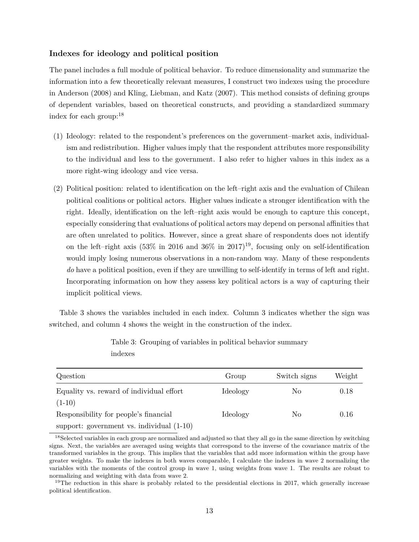#### **Indexes for ideology and political position**

The panel includes a full module of political behavior. To reduce dimensionality and summarize the information into a few theoretically relevant measures, I construct two indexes using the procedure in Anderson (2008) and Kling, Liebman, and Katz (2007). This method consists of defining groups of dependent variables, based on theoretical constructs, and providing a standardized summary index for each group:18

- (1) Ideology: related to the respondent's preferences on the government–market axis, individualism and redistribution. Higher values imply that the respondent attributes more responsibility to the individual and less to the government. I also refer to higher values in this index as a more right-wing ideology and vice versa.
- (2) Political position: related to identification on the left–right axis and the evaluation of Chilean political coalitions or political actors. Higher values indicate a stronger identification with the right. Ideally, identification on the left–right axis would be enough to capture this concept, especially considering that evaluations of political actors may depend on personal affinities that are often unrelated to politics. However, since a great share of respondents does not identify on the left–right axis (53% in 2016 and 36% in 2017)<sup>19</sup>, focusing only on self-identification would imply losing numerous observations in a non-random way. Many of these respondents *do* have a political position, even if they are unwilling to self-identify in terms of left and right. Incorporating information on how they assess key political actors is a way of capturing their implicit political views.

Table 3 shows the variables included in each index. Column 3 indicates whether the sign was switched, and column 4 shows the weight in the construction of the index.

| Question                                    | Group    | Switch signs | Weight |
|---------------------------------------------|----------|--------------|--------|
| Equality vs. reward of individual effort    | Ideology | No           | 0.18   |
| $(1-10)$                                    |          |              |        |
| Responsibility for people's financial       | Ideology | No           | 0.16   |
| support: government vs. individual $(1-10)$ |          |              |        |

Table 3: Grouping of variables in political behavior summary indexes

<sup>&</sup>lt;sup>18</sup>Selected variables in each group are normalized and adjusted so that they all go in the same direction by switching signs. Next, the variables are averaged using weights that correspond to the inverse of the covariance matrix of the transformed variables in the group. This implies that the variables that add more information within the group have greater weights. To make the indexes in both waves comparable, I calculate the indexes in wave 2 normalizing the variables with the moments of the control group in wave 1, using weights from wave 1. The results are robust to normalizing and weighting with data from wave 2.

<sup>&</sup>lt;sup>19</sup>The reduction in this share is probably related to the presidential elections in 2017, which generally increase political identification.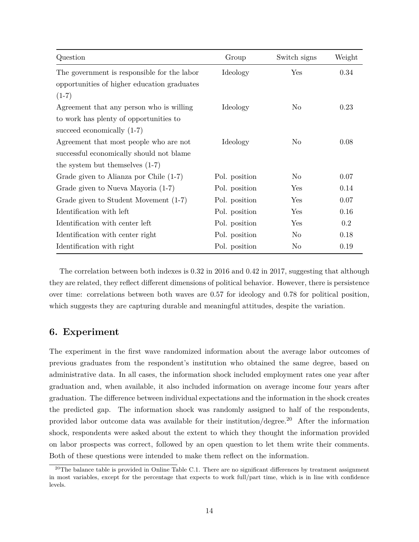| Question                                    | Group         | Switch signs | Weight |
|---------------------------------------------|---------------|--------------|--------|
| The government is responsible for the labor | Ideology      | Yes          | 0.34   |
| opportunities of higher education graduates |               |              |        |
| $(1-7)$                                     |               |              |        |
| Agreement that any person who is willing    | Ideology      | No           | 0.23   |
| to work has plenty of opportunities to      |               |              |        |
| succeed economically $(1-7)$                |               |              |        |
| Agreement that most people who are not      | Ideology      | No           | 0.08   |
| successful economically should not blame    |               |              |        |
| the system but themselves $(1-7)$           |               |              |        |
| Grade given to Alianza por Chile (1-7)      | Pol. position | No           | 0.07   |
| Grade given to Nueva Mayoria (1-7)          | Pol. position | Yes          | 0.14   |
| Grade given to Student Movement (1-7)       | Pol. position | Yes          | 0.07   |
| Identification with left                    | Pol. position | Yes          | 0.16   |
| Identification with center left             | Pol. position | Yes          | 0.2    |
| Identification with center right            | Pol. position | No           | 0.18   |
| Identification with right                   | Pol. position | No           | 0.19   |

The correlation between both indexes is 0.32 in 2016 and 0.42 in 2017, suggesting that although they are related, they reflect different dimensions of political behavior. However, there is persistence over time: correlations between both waves are 0.57 for ideology and 0.78 for political position, which suggests they are capturing durable and meaningful attitudes, despite the variation.

## **6. Experiment**

The experiment in the first wave randomized information about the average labor outcomes of previous graduates from the respondent's institution who obtained the same degree, based on administrative data. In all cases, the information shock included employment rates one year after graduation and, when available, it also included information on average income four years after graduation. The difference between individual expectations and the information in the shock creates the predicted gap. The information shock was randomly assigned to half of the respondents, provided labor outcome data was available for their institution/degree.<sup>20</sup> After the information shock, respondents were asked about the extent to which they thought the information provided on labor prospects was correct, followed by an open question to let them write their comments. Both of these questions were intended to make them reflect on the information.

 $^{20}$ The balance table is provided in Online Table C.1. There are no significant differences by treatment assignment in most variables, except for the percentage that expects to work full/part time, which is in line with confidence levels.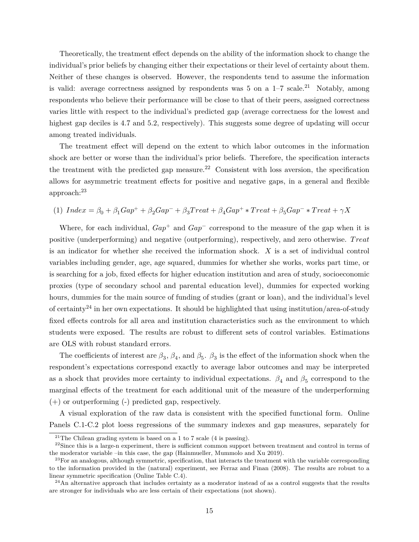Theoretically, the treatment effect depends on the ability of the information shock to change the individual's prior beliefs by changing either their expectations or their level of certainty about them. Neither of these changes is observed. However, the respondents tend to assume the information is valid: average correctness assigned by respondents was 5 on a  $1-7$  scale.<sup>21</sup> Notably, among respondents who believe their performance will be close to that of their peers, assigned correctness varies little with respect to the individual's predicted gap (average correctness for the lowest and highest gap deciles is 4.7 and 5.2, respectively). This suggests some degree of updating will occur among treated individuals.

The treatment effect will depend on the extent to which labor outcomes in the information shock are better or worse than the individual's prior beliefs. Therefore, the specification interacts the treatment with the predicted gap measure.<sup>22</sup> Consistent with loss aversion, the specification allows for asymmetric treatment effects for positive and negative gaps, in a general and flexible approach:23

$$
(1)~Index=\beta_0+\beta_1Gap^++\beta_2Gap^-+\beta_3Treat+\beta_4Gap^+ * Treat+\beta_5Gap^- * Treat+\gamma X
$$

Where, for each individual,  $Gap^+$  and  $Gap^-$  correspond to the measure of the gap when it is positive (underperforming) and negative (outperforming), respectively, and zero otherwise. Treat is an indicator for whether she received the information shock.  $X$  is a set of individual control variables including gender, age, age squared, dummies for whether she works, works part time, or is searching for a job, fixed effects for higher education institution and area of study, socioeconomic proxies (type of secondary school and parental education level), dummies for expected working hours, dummies for the main source of funding of studies (grant or loan), and the individual's level of certainty<sup>24</sup> in her own expectations. It should be highlighted that using institution/area-of-study fixed effects controls for all area and institution characteristics such as the environment to which students were exposed. The results are robust to different sets of control variables. Estimations are OLS with robust standard errors.

The coefficients of interest are  $\beta_3$ ,  $\beta_4$ , and  $\beta_5$ .  $\beta_3$  is the effect of the information shock when the respondent's expectations correspond exactly to average labor outcomes and may be interpreted as a shock that provides more certainty to individual expectations.  $\beta_4$  and  $\beta_5$  correspond to the marginal effects of the treatment for each additional unit of the measure of the underperforming (+) or outperforming (-) predicted gap, respectively.

A visual exploration of the raw data is consistent with the specified functional form. Online Panels C.1-C.2 plot loess regressions of the summary indexes and gap measures, separately for

<sup>&</sup>lt;sup>21</sup>The Chilean grading system is based on a 1 to 7 scale (4 is passing).

 $^{22}$ Since this is a large-n experiment, there is sufficient common support between treatment and control in terms of the moderator variable –in this case, the gap (Hainmueller, Mummolo and Xu 2019).

 $^{23}$ For an analogous, although symmetric, specification, that interacts the treatment with the variable corresponding to the information provided in the (natural) experiment, see Ferraz and Finan (2008). The results are robust to a linear symmetric specification (Online Table C.4).

 $^{24}$ An alternative approach that includes certainty as a moderator instead of as a control suggests that the results are stronger for individuals who are less certain of their expectations (not shown).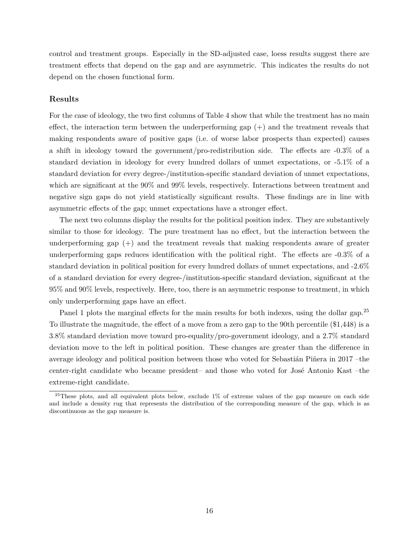control and treatment groups. Especially in the SD-adjusted case, loess results suggest there are treatment effects that depend on the gap and are asymmetric. This indicates the results do not depend on the chosen functional form.

#### **Results**

For the case of ideology, the two first columns of Table 4 show that while the treatment has no main effect, the interaction term between the underperforming gap (+) and the treatment reveals that making respondents aware of positive gaps (i.e. of worse labor prospects than expected) causes a shift in ideology toward the government/pro-redistribution side. The effects are -0.3% of a standard deviation in ideology for every hundred dollars of unmet expectations, or -5.1% of a standard deviation for every degree-/institution-specific standard deviation of unmet expectations, which are significant at the 90% and 99% levels, respectively. Interactions between treatment and negative sign gaps do not yield statistically significant results. These findings are in line with asymmetric effects of the gap; unmet expectations have a stronger effect.

The next two columns display the results for the political position index. They are substantively similar to those for ideology. The pure treatment has no effect, but the interaction between the underperforming gap  $(+)$  and the treatment reveals that making respondents aware of greater underperforming gaps reduces identification with the political right. The effects are -0.3% of a standard deviation in political position for every hundred dollars of unmet expectations, and -2.6% of a standard deviation for every degree-/institution-specific standard deviation, significant at the 95% and 90% levels, respectively. Here, too, there is an asymmetric response to treatment, in which only underperforming gaps have an effect.

Panel 1 plots the marginal effects for the main results for both indexes, using the dollar gap.<sup>25</sup> To illustrate the magnitude, the effect of a move from a zero gap to the 90th percentile (\$1,448) is a 3.8% standard deviation move toward pro-equality/pro-government ideology, and a 2.7% standard deviation move to the left in political position. These changes are greater than the difference in average ideology and political position between those who voted for Sebastián Piñera in 2017 –the center-right candidate who became president– and those who voted for José Antonio Kast –the extreme-right candidate.

<sup>&</sup>lt;sup>25</sup>These plots, and all equivalent plots below, exclude 1% of extreme values of the gap measure on each side and include a density rug that represents the distribution of the corresponding measure of the gap, which is as discontinuous as the gap measure is.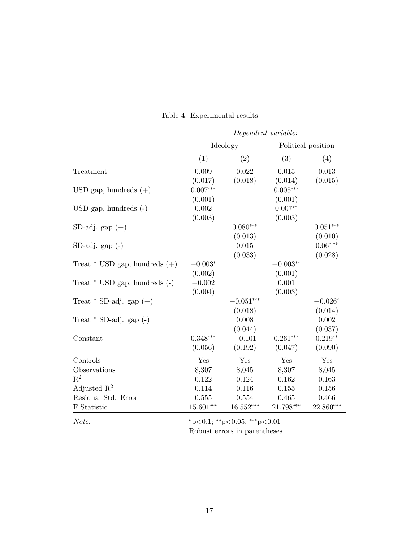|                                   |             |             | Dependent variable: |                    |
|-----------------------------------|-------------|-------------|---------------------|--------------------|
|                                   | Ideology    |             |                     | Political position |
|                                   | (1)         | (2)         | (3)                 | (4)                |
| Treatment                         | 0.009       | 0.022       | 0.015               | 0.013              |
|                                   | (0.017)     | (0.018)     | (0.014)             | (0.015)            |
| USD gap, hundreds $(+)$           | $0.007***$  |             | $0.005***$          |                    |
|                                   | (0.001)     |             | (0.001)             |                    |
| $USD$ gap, hundreds $(-)$         | 0.002       |             | $0.007**$           |                    |
|                                   | (0.003)     |             | (0.003)             |                    |
| SD-adj. gap $(+)$                 |             | $0.080***$  |                     | $0.051***$         |
|                                   |             | (0.013)     |                     | (0.010)            |
| $SD-adj. gap(-)$                  |             | 0.015       |                     | $0.061**$          |
|                                   |             | (0.033)     |                     | (0.028)            |
| Treat $*$ USD gap, hundreds $(+)$ | $-0.003*$   |             | $-0.003**$          |                    |
|                                   | (0.002)     |             | (0.001)             |                    |
| Treat $*$ USD gap, hundreds $(-)$ | $-0.002$    |             | 0.001               |                    |
|                                   | (0.004)     |             | (0.003)             |                    |
| Treat * SD-adj. gap $(+)$         |             | $-0.051***$ |                     | $-0.026*$          |
|                                   |             | (0.018)     |                     | (0.014)            |
| Treat $*$ SD-adj. gap $(-)$       |             | 0.008       |                     | 0.002              |
|                                   |             | (0.044)     |                     | (0.037)            |
| Constant                          | $0.348***$  | $-0.101$    | $0.261***$          | $0.219**$          |
|                                   | (0.056)     | (0.192)     | (0.047)             | (0.090)            |
| Controls                          | Yes         | Yes         | Yes                 | Yes                |
| Observations                      | 8,307       | 8,045       | 8,307               | 8,045              |
| $R^2$                             | 0.122       | 0.124       | 0.162               | 0.163              |
| Adjusted $\mathbb{R}^2$           | 0.114       | 0.116       | 0.155               | 0.156              |
| Residual Std. Error               | 0.555       | 0.554       | 0.465               | 0.466              |
| F Statistic                       | $15.601***$ | $16.552***$ | 21.798***           | 22.860***          |
|                                   |             |             |                     |                    |

Table 4: Experimental results

*Note:*  $*_{p<0.1;} *_{p<0.05;} * *_{p<0.01}$ Robust errors in parentheses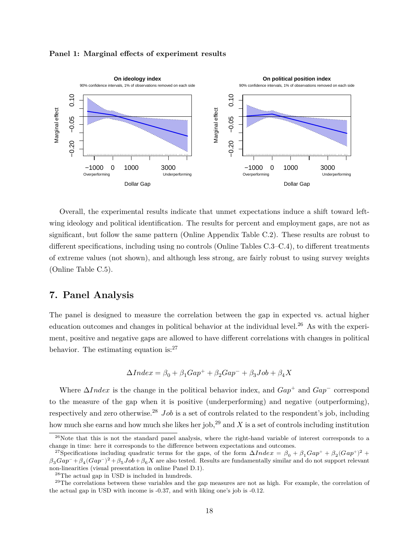

#### **Panel 1: Marginal effects of experiment results**

Overall, the experimental results indicate that unmet expectations induce a shift toward leftwing ideology and political identification. The results for percent and employment gaps, are not as significant, but follow the same pattern (Online Appendix Table C.2). These results are robust to different specifications, including using no controls (Online Tables C.3–C.4), to different treatments of extreme values (not shown), and although less strong, are fairly robust to using survey weights (Online Table C.5).

## **7. Panel Analysis**

The panel is designed to measure the correlation between the gap in expected vs. actual higher education outcomes and changes in political behavior at the individual level.<sup>26</sup> As with the experiment, positive and negative gaps are allowed to have different correlations with changes in political behavior. The estimating equation is: $27$ 

$$
\Delta Index = \beta_0 + \beta_1 Gap^+ + \beta_2Gap^- + \beta_3Job + \beta_4X
$$

Where  $\Delta Index$  is the change in the political behavior index, and  $Gap^+$  and  $Gap^-$  correspond to the measure of the gap when it is positive (underperforming) and negative (outperforming), respectively and zero otherwise.<sup>28</sup> *Job* is a set of controls related to the respondent's job, including how much she earns and how much she likes her job,  $^{29}$  and X is a set of controls including institution

<sup>&</sup>lt;sup>26</sup>Note that this is not the standard panel analysis, where the right-hand variable of interest corresponds to a change in time: here it corresponds to the difference between expectations and outcomes.

<sup>&</sup>lt;sup>27</sup>Specifications including quadratic terms for the gaps, of the form  $\Delta Index = \beta_0 + \beta_1 Gap^+ + \beta_2(Gap^+)^2 +$  $\beta_3Gap^- + \beta_4(Gap^-)^2 + \beta_5Job + \beta_6X$  are also tested. Results are fundamentally similar and do not support relevant non-linearities (visual presentation in online Panel D.1).

<sup>28</sup>The actual gap in USD is included in hundreds.

 $^{29}$ The correlations between these variables and the gap measures are not as high. For example, the correlation of the actual gap in USD with income is -0.37, and with liking one's job is -0.12.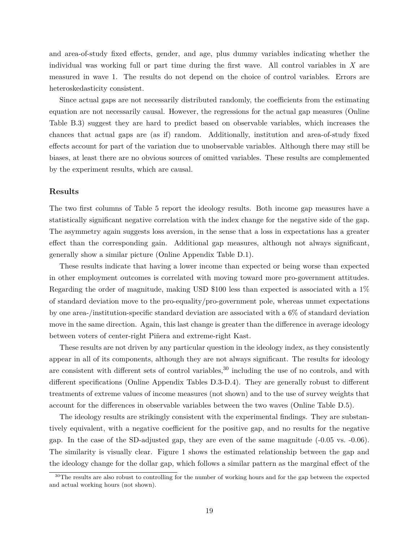and area-of-study fixed effects, gender, and age, plus dummy variables indicating whether the individual was working full or part time during the first wave. All control variables in  $X$  are measured in wave 1. The results do not depend on the choice of control variables. Errors are heteroskedasticity consistent.

Since actual gaps are not necessarily distributed randomly, the coefficients from the estimating equation are not necessarily causal. However, the regressions for the actual gap measures (Online Table B.3) suggest they are hard to predict based on observable variables, which increases the chances that actual gaps are (as if) random. Additionally, institution and area-of-study fixed effects account for part of the variation due to unobservable variables. Although there may still be biases, at least there are no obvious sources of omitted variables. These results are complemented by the experiment results, which are causal.

#### **Results**

The two first columns of Table 5 report the ideology results. Both income gap measures have a statistically significant negative correlation with the index change for the negative side of the gap. The asymmetry again suggests loss aversion, in the sense that a loss in expectations has a greater effect than the corresponding gain. Additional gap measures, although not always significant, generally show a similar picture (Online Appendix Table D.1).

These results indicate that having a lower income than expected or being worse than expected in other employment outcomes is correlated with moving toward more pro-government attitudes. Regarding the order of magnitude, making USD \$100 less than expected is associated with a 1% of standard deviation move to the pro-equality/pro-government pole, whereas unmet expectations by one area-/institution-specific standard deviation are associated with a 6% of standard deviation move in the same direction. Again, this last change is greater than the difference in average ideology between voters of center-right Piñera and extreme-right Kast.

These results are not driven by any particular question in the ideology index, as they consistently appear in all of its components, although they are not always significant. The results for ideology are consistent with different sets of control variables,<sup>30</sup> including the use of no controls, and with different specifications (Online Appendix Tables D.3-D.4). They are generally robust to different treatments of extreme values of income measures (not shown) and to the use of survey weights that account for the differences in observable variables between the two waves (Online Table D.5).

The ideology results are strikingly consistent with the experimental findings. They are substantively equivalent, with a negative coefficient for the positive gap, and no results for the negative gap. In the case of the SD-adjusted gap, they are even of the same magnitude (-0.05 vs. -0.06). The similarity is visually clear. Figure 1 shows the estimated relationship between the gap and the ideology change for the dollar gap, which follows a similar pattern as the marginal effect of the

<sup>&</sup>lt;sup>30</sup>The results are also robust to controlling for the number of working hours and for the gap between the expected and actual working hours (not shown).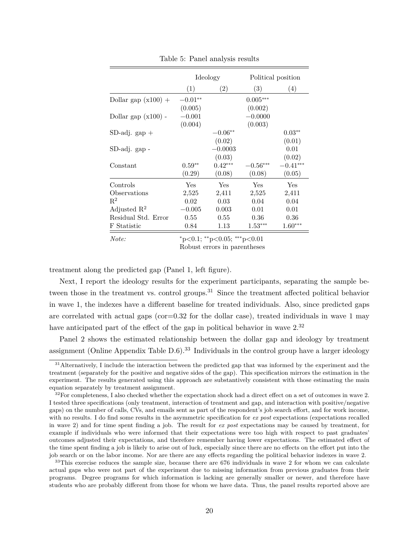|                         | Ideology                            |           | Political position     |            |  |  |
|-------------------------|-------------------------------------|-----------|------------------------|------------|--|--|
|                         | (1)                                 | (2)       | (3)                    | (4)        |  |  |
| Dollar gap $(x100) +$   | $-0.01**$                           |           | $0.005***$             |            |  |  |
|                         | (0.005)                             |           | (0.002)                |            |  |  |
| Dollar gap $(x100)$ -   | $-0.001$                            |           | $-0.0000$              |            |  |  |
|                         | (0.004)                             |           | (0.003)                |            |  |  |
| $SD-adj. gap +$         |                                     | $-0.06**$ |                        | $0.03**$   |  |  |
|                         |                                     | (0.02)    |                        | (0.01)     |  |  |
| SD-adj. gap -           |                                     | $-0.0003$ |                        | 0.01       |  |  |
|                         |                                     | (0.03)    |                        | (0.02)     |  |  |
| Constant                | $0.59**$                            | $0.42***$ | $-0.56^{\ast\ast\ast}$ | $-0.41***$ |  |  |
|                         | (0.29)                              | (0.08)    | (0.08)                 | (0.05)     |  |  |
| Controls                | Yes                                 | Yes       | Yes                    | Yes        |  |  |
| Observations            | 2,525                               | 2,411     | 2,525                  | 2,411      |  |  |
| $\mathbb{R}^2$          | 0.02                                | 0.03      | 0.04                   | 0.04       |  |  |
| Adjusted $\mathbb{R}^2$ | $-0.005$                            | 0.003     | 0.01                   | 0.01       |  |  |
| Residual Std. Error     | 0.55                                | 0.55      | 0.36                   | 0.36       |  |  |
| F Statistic             | 0.84                                | 1.13      | $1.53***$              | $1.60***$  |  |  |
| Note:                   | $*_{p<0.1; *_{p<0.05; **_{p<0.01}}$ |           |                        |            |  |  |

Table 5: Panel analysis results

Robust errors in parentheses

treatment along the predicted gap (Panel 1, left figure).

Next, I report the ideology results for the experiment participants, separating the sample between those in the treatment vs. control groups.<sup>31</sup> Since the treatment affected political behavior in wave 1, the indexes have a different baseline for treated individuals. Also, since predicted gaps are correlated with actual gaps (cor=0.32 for the dollar case), treated individuals in wave 1 may have anticipated part of the effect of the gap in political behavior in wave  $2.^{32}$ 

Panel 2 shows the estimated relationship between the dollar gap and ideology by treatment assignment (Online Appendix Table  $D.6$ ).<sup>33</sup> Individuals in the control group have a larger ideology

<sup>33</sup>This exercise reduces the sample size, because there are 676 individuals in wave 2 for whom we can calculate actual gaps who were not part of the experiment due to missing information from previous graduates from their programs. Degree programs for which information is lacking are generally smaller or newer, and therefore have students who are probably different from those for whom we have data. Thus, the panel results reported above are

<sup>&</sup>lt;sup>31</sup> Alternatively, I include the interaction between the predicted gap that was informed by the experiment and the treatment (separately for the positive and negative sides of the gap). This specification mirrors the estimation in the experiment. The results generated using this approach are substantively consistent with those estimating the main equation separately by treatment assignment.

<sup>&</sup>lt;sup>32</sup>For completeness, I also checked whether the expectation shock had a direct effect on a set of outcomes in wave 2. I tested three specifications (only treatment, interaction of treatment and gap, and interaction with positive/negative gaps) on the number of calls, CVs, and emails sent as part of the respondent's job search effort, and for work income, with no results. I do find some results in the asymmetric specification for *ex post* expectations (expectations recalled in wave 2) and for time spent finding a job. The result for *ex post* expectations may be caused by treatment, for example if individuals who were informed that their expectations were too high with respect to past graduates' outcomes adjusted their expectations, and therefore remember having lower expectations. The estimated effect of the time spent finding a job is likely to arise out of luck, especially since there are no effects on the effort put into the job search or on the labor income. Nor are there are any effects regarding the political behavior indexes in wave 2.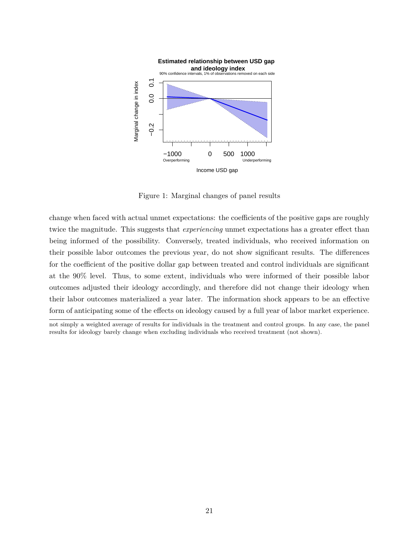

Figure 1: Marginal changes of panel results

change when faced with actual unmet expectations: the coefficients of the positive gaps are roughly twice the magnitude. This suggests that *experiencing* unmet expectations has a greater effect than being informed of the possibility. Conversely, treated individuals, who received information on their possible labor outcomes the previous year, do not show significant results. The differences for the coefficient of the positive dollar gap between treated and control individuals are significant at the 90% level. Thus, to some extent, individuals who were informed of their possible labor outcomes adjusted their ideology accordingly, and therefore did not change their ideology when their labor outcomes materialized a year later. The information shock appears to be an effective form of anticipating some of the effects on ideology caused by a full year of labor market experience.

not simply a weighted average of results for individuals in the treatment and control groups. In any case, the panel results for ideology barely change when excluding individuals who received treatment (not shown).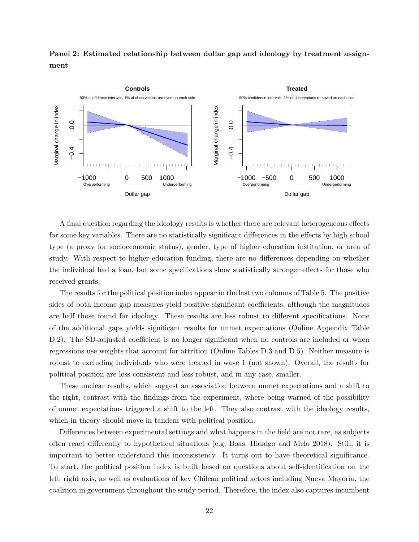**Panel 2: Estimated relationship between dollar gap and ideology by treatment assignment**



A final question regarding the ideology results is whether there are relevant heterogeneous effects for some key variables. There are no statistically significant differences in the effects by high school type (a proxy for socioeconomic status), gender, type of higher education institution, or area of study. With respect to higher education funding, there are no differences depending on whether the individual had a loan, but some specifications show statistically stronger effects for those who received grants.

The results for the political position index appear in the last two columns of Table 5. The positive sides of both income gap measures yield positive significant coefficients, although the magnitudes are half those found for ideology. These results are less robust to different specifications. None of the additional gaps yields significant results for unmet expectations (Online Appendix Table D.2). The SD-adjusted coefficient is no longer significant when no controls are included or when regressions use weights that account for attrition (Online Tables D.3 and D.5). Neither measure is robust to excluding individuals who were treated in wave 1 (not shown). Overall, the results for political position are less consistent and less robust, and in any case, smaller.

These unclear results, which suggest an association between unmet expectations and a shift to the right, contrast with the findings from the experiment, where being warned of the possibility of unmet expectations triggered a shift to the left. They also contrast with the ideology results, which in theory should move in tandem with political position.

Differences between experimental settings and what happens in the field are not rare, as subjects often react differently to hypothetical situations (e.g. Boas, Hidalgo and Melo 2018). Still, it is important to better understand this inconsistency. It turns out to have theoretical significance. To start, the political position index is built based on questions about self-identification on the left–right axis, as well as evaluations of key Chilean political actors including Nueva Mayoría, the coalition in government throughout the study period. Therefore, the index also captures incumbent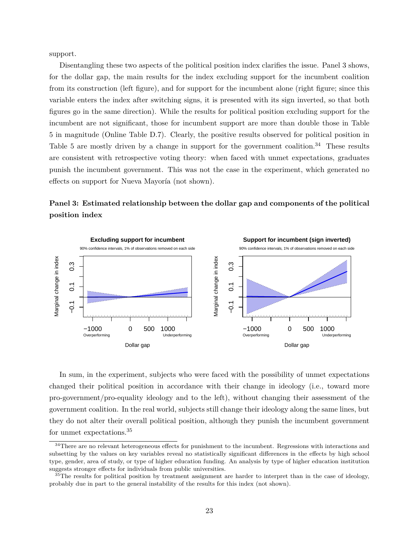support.

Disentangling these two aspects of the political position index clarifies the issue. Panel 3 shows, for the dollar gap, the main results for the index excluding support for the incumbent coalition from its construction (left figure), and for support for the incumbent alone (right figure; since this variable enters the index after switching signs, it is presented with its sign inverted, so that both figures go in the same direction). While the results for political position excluding support for the incumbent are not significant, those for incumbent support are more than double those in Table 5 in magnitude (Online Table D.7). Clearly, the positive results observed for political position in Table 5 are mostly driven by a change in support for the government coalition.<sup>34</sup> These results are consistent with retrospective voting theory: when faced with unmet expectations, graduates punish the incumbent government. This was not the case in the experiment, which generated no effects on support for Nueva Mayoría (not shown).

**Panel 3: Estimated relationship between the dollar gap and components of the political position index**



In sum, in the experiment, subjects who were faced with the possibility of unmet expectations changed their political position in accordance with their change in ideology (i.e., toward more pro-government/pro-equality ideology and to the left), without changing their assessment of the government coalition. In the real world, subjects still change their ideology along the same lines, but they do not alter their overall political position, although they punish the incumbent government for unmet expectations.35

<sup>34</sup>There are no relevant heterogeneous effects for punishment to the incumbent. Regressions with interactions and subsetting by the values on key variables reveal no statistically significant differences in the effects by high school type, gender, area of study, or type of higher education funding. An analysis by type of higher education institution suggests stronger effects for individuals from public universities.

<sup>&</sup>lt;sup>35</sup>The results for political position by treatment assignment are harder to interpret than in the case of ideology, probably due in part to the general instability of the results for this index (not shown).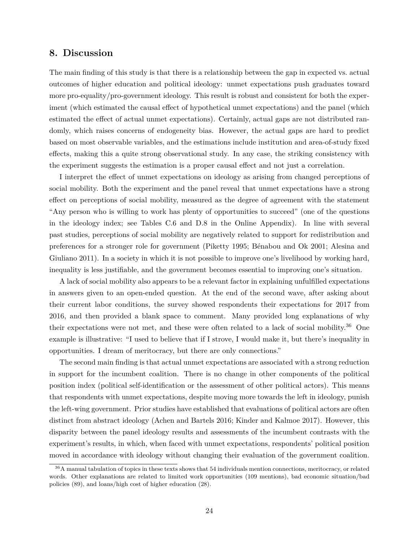### **8. Discussion**

The main finding of this study is that there is a relationship between the gap in expected vs. actual outcomes of higher education and political ideology: unmet expectations push graduates toward more pro-equality/pro-government ideology. This result is robust and consistent for both the experiment (which estimated the causal effect of hypothetical unmet expectations) and the panel (which estimated the effect of actual unmet expectations). Certainly, actual gaps are not distributed randomly, which raises concerns of endogeneity bias. However, the actual gaps are hard to predict based on most observable variables, and the estimations include institution and area-of-study fixed effects, making this a quite strong observational study. In any case, the striking consistency with the experiment suggests the estimation is a proper causal effect and not just a correlation.

I interpret the effect of unmet expectations on ideology as arising from changed perceptions of social mobility. Both the experiment and the panel reveal that unmet expectations have a strong effect on perceptions of social mobility, measured as the degree of agreement with the statement "Any person who is willing to work has plenty of opportunities to succeed" (one of the questions in the ideology index; see Tables C.6 and D.8 in the Online Appendix). In line with several past studies, perceptions of social mobility are negatively related to support for redistribution and preferences for a stronger role for government (Piketty 1995; Bénabou and Ok 2001; Alesina and Giuliano 2011). In a society in which it is not possible to improve one's livelihood by working hard, inequality is less justifiable, and the government becomes essential to improving one's situation.

A lack of social mobility also appears to be a relevant factor in explaining unfulfilled expectations in answers given to an open-ended question. At the end of the second wave, after asking about their current labor conditions, the survey showed respondents their expectations for 2017 from 2016, and then provided a blank space to comment. Many provided long explanations of why their expectations were not met, and these were often related to a lack of social mobility.36 One example is illustrative: "I used to believe that if I strove, I would make it, but there's inequality in opportunities. I dream of meritocracy, but there are only connections."

The second main finding is that actual unmet expectations are associated with a strong reduction in support for the incumbent coalition. There is no change in other components of the political position index (political self-identification or the assessment of other political actors). This means that respondents with unmet expectations, despite moving more towards the left in ideology, punish the left-wing government. Prior studies have established that evaluations of political actors are often distinct from abstract ideology (Achen and Bartels 2016; Kinder and Kalmoe 2017). However, this disparity between the panel ideology results and assessments of the incumbent contrasts with the experiment's results, in which, when faced with unmet expectations, respondents' political position moved in accordance with ideology without changing their evaluation of the government coalition.

<sup>36</sup>A manual tabulation of topics in these texts shows that 54 individuals mention connections, meritocracy, or related words. Other explanations are related to limited work opportunities (109 mentions), bad economic situation/bad policies (89), and loans/high cost of higher education (28).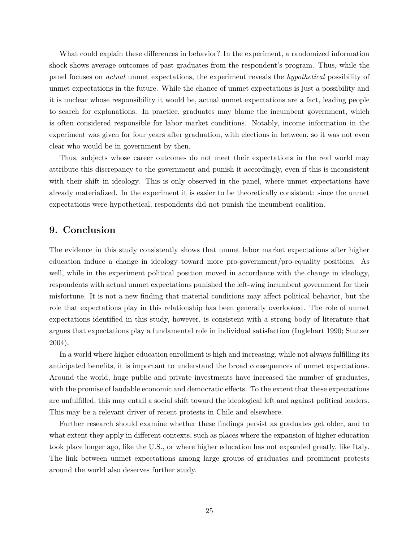What could explain these differences in behavior? In the experiment, a randomized information shock shows average outcomes of past graduates from the respondent's program. Thus, while the panel focuses on *actual* unmet expectations, the experiment reveals the *hypothetical* possibility of unmet expectations in the future. While the chance of unmet expectations is just a possibility and it is unclear whose responsibility it would be, actual unmet expectations are a fact, leading people to search for explanations. In practice, graduates may blame the incumbent government, which is often considered responsible for labor market conditions. Notably, income information in the experiment was given for four years after graduation, with elections in between, so it was not even clear who would be in government by then.

Thus, subjects whose career outcomes do not meet their expectations in the real world may attribute this discrepancy to the government and punish it accordingly, even if this is inconsistent with their shift in ideology. This is only observed in the panel, where unmet expectations have already materialized. In the experiment it is easier to be theoretically consistent: since the unmet expectations were hypothetical, respondents did not punish the incumbent coalition.

## **9. Conclusion**

The evidence in this study consistently shows that unmet labor market expectations after higher education induce a change in ideology toward more pro-government/pro-equality positions. As well, while in the experiment political position moved in accordance with the change in ideology, respondents with actual unmet expectations punished the left-wing incumbent government for their misfortune. It is not a new finding that material conditions may affect political behavior, but the role that expectations play in this relationship has been generally overlooked. The role of unmet expectations identified in this study, however, is consistent with a strong body of literature that argues that expectations play a fundamental role in individual satisfaction (Inglehart 1990; Stutzer 2004).

In a world where higher education enrollment is high and increasing, while not always fulfilling its anticipated benefits, it is important to understand the broad consequences of unmet expectations. Around the world, huge public and private investments have increased the number of graduates, with the promise of laudable economic and democratic effects. To the extent that these expectations are unfulfilled, this may entail a social shift toward the ideological left and against political leaders. This may be a relevant driver of recent protests in Chile and elsewhere.

Further research should examine whether these findings persist as graduates get older, and to what extent they apply in different contexts, such as places where the expansion of higher education took place longer ago, like the U.S., or where higher education has not expanded greatly, like Italy. The link between unmet expectations among large groups of graduates and prominent protests around the world also deserves further study.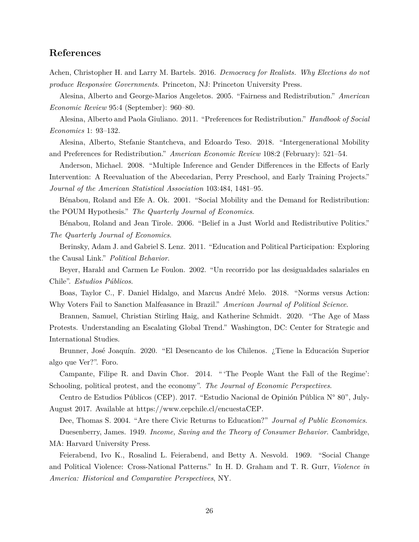## **References**

Achen, Christopher H. and Larry M. Bartels. 2016. *Democracy for Realists. Why Elections do not produce Responsive Governments*. Princeton, NJ: Princeton University Press.

Alesina, Alberto and George-Marios Angeletos. 2005. "Fairness and Redistribution." *American Economic Review* 95:4 (September): 960–80.

Alesina, Alberto and Paola Giuliano. 2011. "Preferences for Redistribution." *Handbook of Social Economics* 1: 93–132.

Alesina, Alberto, Stefanie Stantcheva, and Edoardo Teso. 2018. "Intergenerational Mobility and Preferences for Redistribution." *American Economic Review* 108:2 (February): 521–54.

Anderson, Michael. 2008. "Multiple Inference and Gender Differences in the Effects of Early Intervention: A Reevaluation of the Abecedarian, Perry Preschool, and Early Training Projects." *Journal of the American Statistical Association* 103:484, 1481–95.

Bénabou, Roland and Efe A. Ok. 2001. "Social Mobility and the Demand for Redistribution: the POUM Hypothesis." *The Quarterly Journal of Economics*.

Bénabou, Roland and Jean Tirole. 2006. "Belief in a Just World and Redistributive Politics." *The Quarterly Journal of Economics*.

Berinsky, Adam J. and Gabriel S. Lenz. 2011. "Education and Political Participation: Exploring the Causal Link." *Political Behavior*.

Beyer, Harald and Carmen Le Foulon. 2002. "Un recorrido por las desigualdades salariales en Chile". *Estudios Públicos*.

Boas, Taylor C., F. Daniel Hidalgo, and Marcus André Melo. 2018. "Norms versus Action: Why Voters Fail to Sanction Malfeasance in Brazil." *American Journal of Political Science*.

Brannen, Samuel, Christian Stirling Haig, and Katherine Schmidt. 2020. "The Age of Mass Protests. Understanding an Escalating Global Trend." Washington, DC: Center for Strategic and International Studies.

Brunner, José Joaquín. 2020. "El Desencanto de los Chilenos. ¿Tiene la Educación Superior algo que Ver?". Foro.

Campante, Filipe R. and Davin Chor. 2014. " 'The People Want the Fall of the Regime': Schooling, political protest, and the economy". *The Journal of Economic Perspectives*.

Centro de Estudios Públicos (CEP). 2017. "Estudio Nacional de Opinión Pública N° 80", July-August 2017. Available at <https://www.cepchile.cl/encuestaCEP>.

Dee, Thomas S. 2004. "Are there Civic Returns to Education?" *Journal of Public Economics*.

Duesenberry, James. 1949. *Income, Saving and the Theory of Consumer Behavior*. Cambridge, MA: Harvard University Press.

Feierabend, Ivo K., Rosalind L. Feierabend, and Betty A. Nesvold. 1969. "Social Change and Political Violence: Cross-National Patterns." In H. D. Graham and T. R. Gurr, *Violence in America: Historical and Comparative Perspectives*, NY.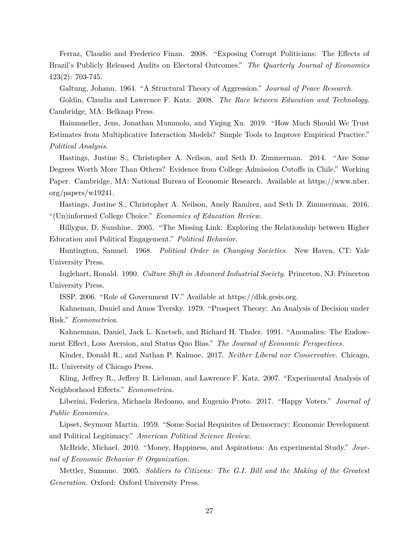Ferraz, Claudio and Frederico Finan. 2008. "Exposing Corrupt Politicians: The Effects of Brazil's Publicly Released Audits on Electoral Outcomes." *The Quarterly Journal of Economics* 123(2): 703-745.

Galtung, Johann. 1964. "A Structural Theory of Aggression." *Journal of Peace Research.*

Goldin, Claudia and Lawrence F. Katz. 2008. *The Race between Education and Technology*. Cambridge, MA: Belknap Press.

Hainmueller, Jens, Jonathan Mummolo, and Yiqing Xu. 2019. "How Much Should We Trust Estimates from Multiplicative Interaction Models? Simple Tools to Improve Empirical Practice." *Political Analysis*.

Hastings, Justine S., Christopher A. Neilson, and Seth D. Zimmerman. 2014. "Are Some Degrees Worth More Than Others? Evidence from College Admission Cutoffs in Chile." Working Paper. Cambridge, MA: National Bureau of Economic Research. Available at [https://www.nber.](https://www.nber.org/papers/w19241) [org/papers/w19241](https://www.nber.org/papers/w19241).

Hastings, Justine S., Christopher A. Neilson, Anely Ramírez, and Seth D. Zimmerman. 2016. "(Un)informed College Choice." *Economics of Education Review.*

Hillygus, D. Sunshine. 2005. "The Missing Link: Exploring the Relationship between Higher Education and Political Engagement." *Political Behavior.*

Huntington, Samuel. 1968. *Political Order in Changing Societies.* New Haven, CT: Yale University Press.

Inglehart, Ronald. 1990. *Culture Shift in Advanced Industrial Society*. Princeton, NJ: Princeton University Press.

ISSP. 2006. "Role of Government IV." Available at [https://dbk.gesis.org.](https://dbk.gesis.org)

Kahneman, Daniel and Amos Tversky. 1979. "Prospect Theory: An Analysis of Decision under Risk." *Econometrica.*

Kahnemnan, Daniel, Jack L. Knetsch, and Richard H. Thaler. 1991. "Anomalies: The Endowment Effect, Loss Aversion, and Status Quo Bias." *The Journal of Economic Perspectives.*

Kinder, Donald R., and Nathan P. Kalmoe. 2017. *Neither Liberal nor Conservative*. Chicago, IL: University of Chicago Press.

Kling, Jeffrey R., Jeffrey B. Liebman, and Lawrence F. Katz. 2007. "Experimental Analysis of Neighborhood Effects." *Econometrica.*

Liberini, Federica, Michaela Redoano, and Eugenio Proto. 2017. "Happy Voters." *Journal of Public Economics.*

Lipset, Seymour Martin. 1959. "Some Social Requisites of Democracy: Economic Development and Political Legitimacy." *American Political Science Review.*

McBride, Michael. 2010. "Money, Happiness, and Aspirations: An experimental Study." *Journal of Economic Behavior & Organization.*

Mettler, Suzanne. 2005. *Soldiers to Citizens: The G.I. Bill and the Making of the Greatest Generation*. Oxford: Oxford University Press.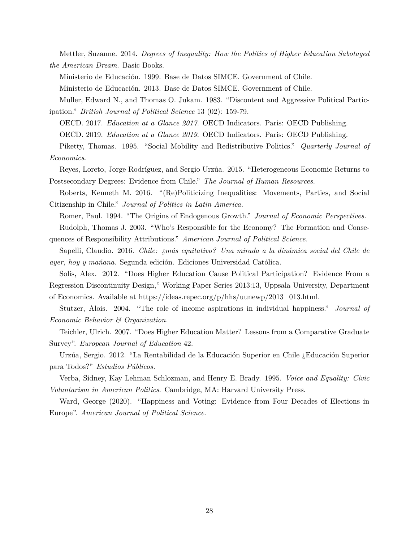Mettler, Suzanne. 2014. *Degrees of Inequality: How the Politics of Higher Education Sabotaged the American Dream.* Basic Books.

Ministerio de Educación. 1999. Base de Datos SIMCE. Government of Chile.

Ministerio de Educación. 2013. Base de Datos SIMCE. Government of Chile.

Muller, Edward N., and Thomas O. Jukam. 1983. "Discontent and Aggressive Political Participation." *British Journal of Political Science* 13 (02): 159-79.

OECD. 2017. *Education at a Glance 2017*. OECD Indicators. Paris: OECD Publishing.

OECD. 2019. *Education at a Glance 2019*. OECD Indicators. Paris: OECD Publishing.

Piketty, Thomas. 1995. "Social Mobility and Redistributive Politics." *Quarterly Journal of Economics*.

Reyes, Loreto, Jorge Rodríguez, and Sergio Urzúa. 2015. "Heterogeneous Economic Returns to Postsecondary Degrees: Evidence from Chile." *The Journal of Human Resources.*

Roberts, Kenneth M. 2016. "(Re)Politicizing Inequalities: Movements, Parties, and Social Citizenship in Chile." *Journal of Politics in Latin America.*

Romer, Paul. 1994. "The Origins of Endogenous Growth." *Journal of Economic Perspectives.*

Rudolph, Thomas J. 2003. "Who's Responsible for the Economy? The Formation and Consequences of Responsibility Attributions." *American Journal of Political Science.*

Sapelli, Claudio. 2016. *Chile: ¿más equitativo? Una mirada a la dinámica social del Chile de ayer, hoy y mañana*. Segunda edición. Ediciones Universidad Católica.

Solís, Alex. 2012. "Does Higher Education Cause Political Participation? Evidence From a Regression Discontinuity Design," Working Paper Series 2013:13, Uppsala University, Department of Economics. Available at [https://ideas.repec.org/p/hhs/uunewp/2013\\_013.html.](https://ideas.repec.org/p/hhs/uunewp/2013_013.html)

Stutzer, Alois. 2004. "The role of income aspirations in individual happiness." *Journal of Economic Behavior & Organization.*

Teichler, Ulrich. 2007. "Does Higher Education Matter? Lessons from a Comparative Graduate Survey". *European Journal of Education* 42.

Urzúa, Sergio. 2012. "La Rentabilidad de la Educación Superior en Chile ¿Educación Superior para Todos?" *Estudios Públicos.*

Verba, Sidney, Kay Lehman Schlozman, and Henry E. Brady. 1995. *Voice and Equality: Civic Voluntarism in American Politics*. Cambridge, MA: Harvard University Press.

Ward, George (2020). "Happiness and Voting: Evidence from Four Decades of Elections in Europe". *American Journal of Political Science*.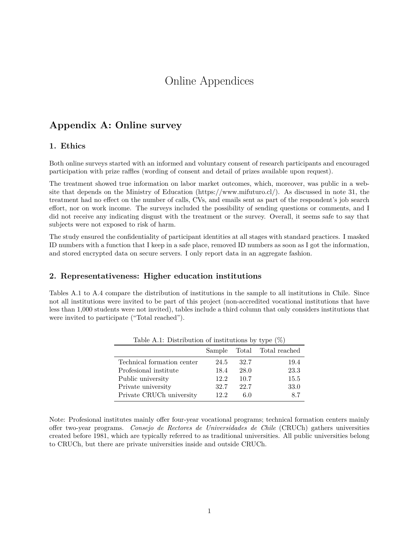## Online Appendices

## **Appendix A: Online survey**

#### **1. Ethics**

Both online surveys started with an informed and voluntary consent of research participants and encouraged participation with prize raffles (wording of consent and detail of prizes available upon request).

The treatment showed true information on labor market outcomes, which, moreover, was public in a website that depends on the Ministry of Education (<https://www.mifuturo.cl/>). As discussed in note 31, the treatment had no effect on the number of calls, CVs, and emails sent as part of the respondent's job search effort, nor on work income. The surveys included the possibility of sending questions or comments, and I did not receive any indicating disgust with the treatment or the survey. Overall, it seems safe to say that subjects were not exposed to risk of harm.

The study ensured the confidentiality of participant identities at all stages with standard practices. I masked ID numbers with a function that I keep in a safe place, removed ID numbers as soon as I got the information, and stored encrypted data on secure servers. I only report data in an aggregate fashion.

#### **2. Representativeness: Higher education institutions**

Tables A.1 to A.4 compare the distribution of institutions in the sample to all institutions in Chile. Since not all institutions were invited to be part of this project (non-accredited vocational institutions that have less than 1,000 students were not invited), tables include a third column that only considers institutions that were invited to participate ("Total reached").

|                            | Sample |      | Total Total reached |
|----------------------------|--------|------|---------------------|
| Technical formation center | 24.5   | 32.7 | 19.4                |
| Profesional institute      | 18.4   | 28.0 | 23.3                |
| Public university          | 12.2   | 10.7 | 15.5                |
| Private university         | 32.7   | 22.7 | 33.0                |
| Private CRUCh university   | 12.2   | 6.0  | 8.7                 |
|                            |        |      |                     |

Table A.1: Distribution of institutions by type  $(\%)$ 

Note: Profesional institutes mainly offer four-year vocational programs; technical formation centers mainly offer two-year programs. *Consejo de Rectores de Universidades de Chile* (CRUCh) gathers universities created before 1981, which are typically referred to as traditional universities. All public universities belong to CRUCh, but there are private universities inside and outside CRUCh.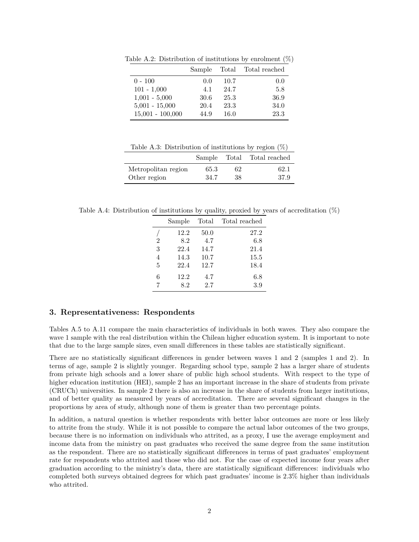|                    | Sample |      | Total Total reached |
|--------------------|--------|------|---------------------|
| $0 - 100$          | 0.0    | 10.7 | 0.0                 |
| $101 - 1,000$      | 4.1    | 24.7 | 5.8                 |
| $1,001 - 5,000$    | 30.6   | 25.3 | 36.9                |
| $5,001 - 15,000$   | 20.4   | 23.3 | 34.0                |
| $15,001 - 100,000$ | 44.9   | 16.0 | 23.3                |

Table A.2: Distribution of institutions by enrolment  $(\%)$ 

Table A.3: Distribution of institutions by region  $(\%)$ 

|                     |      |    | Sample Total Total reached |
|---------------------|------|----|----------------------------|
| Metropolitan region | 65.3 | 62 | 62.1                       |
| Other region        | 34.7 | 38 | 37.9                       |

Table A.4: Distribution of institutions by quality, proxied by years of accreditation (%)

|                | Sample | Total | Total reached |
|----------------|--------|-------|---------------|
|                | 12.2   | 50.0  | 27.2          |
| $\overline{2}$ | 8.2    | 4.7   | 6.8           |
| 3              | 22.4   | 14.7  | 21.4          |
| 4              | 14.3   | 10.7  | 15.5          |
| 5              | 22.4   | 12.7  | 18.4          |
| 6              | 12.2   | 4.7   | 6.8           |
| 7              | 8.2    | 2.7   | 3.9           |

#### **3. Representativeness: Respondents**

Tables A.5 to A.11 compare the main characteristics of individuals in both waves. They also compare the wave 1 sample with the real distribution within the Chilean higher education system. It is important to note that due to the large sample sizes, even small differences in these tables are statistically significant.

There are no statistically significant differences in gender between waves 1 and 2 (samples 1 and 2). In terms of age, sample 2 is slightly younger. Regarding school type, sample 2 has a larger share of students from private high schools and a lower share of public high school students. With respect to the type of higher education institution (HEI), sample 2 has an important increase in the share of students from private (CRUCh) universities. In sample 2 there is also an increase in the share of students from larger institutions, and of better quality as measured by years of accreditation. There are several significant changes in the proportions by area of study, although none of them is greater than two percentage points.

In addition, a natural question is whether respondents with better labor outcomes are more or less likely to attrite from the study. While it is not possible to compare the actual labor outcomes of the two groups, because there is no information on individuals who attrited, as a proxy, I use the average employment and income data from the ministry on past graduates who received the same degree from the same institution as the respondent. There are no statistically significant differences in terms of past graduates' employment rate for respondents who attrited and those who did not. For the case of expected income four years after graduation according to the ministry's data, there are statistically significant differences: individuals who completed both surveys obtained degrees for which past graduates' income is 2.3% higher than individuals who attrited.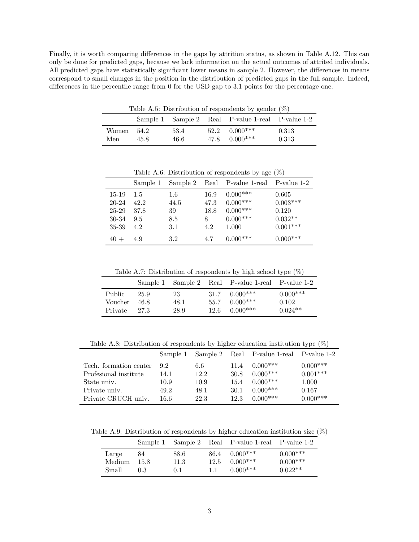Finally, it is worth comparing differences in the gaps by attrition status, as shown in Table A.12. This can only be done for predicted gaps, because we lack information on the actual outcomes of attrited individuals. All predicted gaps have statistically significant lower means in sample 2. However, the differences in means correspond to small changes in the position in the distribution of predicted gaps in the full sample. Indeed, differences in the percentile range from 0 for the USD gap to 3.1 points for the percentage one.

Table A.5: Distribution of respondents by gender  $(\%)$ 

|                   |      |              | Sample 1 Sample 2 Real P-value 1-real P-value 1-2 |                |
|-------------------|------|--------------|---------------------------------------------------|----------------|
| Women 54.2<br>Men | 45.8 | 53.4<br>46.6 | $52.2 \quad 0.000***$<br>$47.8$ 0.000***          | 0.313<br>0.313 |

Table A.6: Distribution of respondents by age  $(\%)$ 

|           | Sample 1 |      |      | Sample 2 Real P-value 1-real P-value 1-2 |            |
|-----------|----------|------|------|------------------------------------------|------------|
| 15-19     | 1.5      | 1.6  | 16.9 | $0.000***$                               | 0.605      |
| $20 - 24$ | 42.2     | 44.5 | 47.3 | $0.000***$                               | $0.003***$ |
| $25 - 29$ | 37.8     | 39   | 18.8 | $0.000***$                               | 0.120      |
| 30-34     | 9.5      | 8.5  | 8    | $0.000***$                               | $0.032**$  |
| 35-39     | 4.2      | 3.1  | 4.2  | 1.000                                    | $0.001***$ |
| $40 +$    | 4.9      | 3.2  | 4.7  | $0.000***$                               | $0.000***$ |

Table A.7: Distribution of respondents by high school type (%)

|                                     |                      |                    |              | Sample 1 Sample 2 Real P-value 1-real P-value 1-2  |                                  |
|-------------------------------------|----------------------|--------------------|--------------|----------------------------------------------------|----------------------------------|
| <b>Public</b><br>Voucher<br>Private | 25.9<br>46.8<br>27.3 | 23<br>48.1<br>28.9 | 55.7<br>12.6 | $31.7 \quad 0.000$ ***<br>$0.000***$<br>$0.000***$ | $0.000***$<br>0.102<br>$0.024**$ |

Table A.8: Distribution of respondents by higher education institution type  $(\%)$ 

|                        | Sample 1 |      |      | Sample 2 Real P-value 1-real P-value 1-2 |            |
|------------------------|----------|------|------|------------------------------------------|------------|
| Tech. formation center | 9.2      | 6.6  | 11.4 | $0.000***$                               | $0.000***$ |
| Profesional institute  | 14.1     | 12.2 | 30.8 | $0.000***$                               | $0.001***$ |
| State univ.            | 10.9     | 10.9 | 15.4 | $0.000***$                               | 1.000      |
| Private univ.          | 49.2     | 48.1 | 30.1 | $0.000***$                               | 0.167      |
| Private CRUCH univ.    | 16.6     | 22.3 | 12.3 | $0.000***$                               | $0.000***$ |

Table A.9: Distribution of respondents by higher education institution size  $(\%)$ 

|        |      |      |    | Sample 1 Sample 2 Real P-value 1-real P-value 1-2 |            |
|--------|------|------|----|---------------------------------------------------|------------|
| Large  | 84   | 88.6 | 11 | $86.4\quad 0.000***$                              | $0.000***$ |
| Medium | 15.8 | 11.3 |    | $12.5 \quad 0.000$ ***                            | $0.000***$ |
| Small  | 0.3  | 0.1  |    | $0.000***$                                        | $0.022**$  |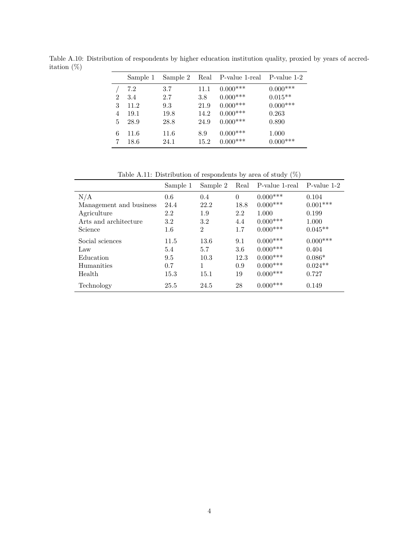|   | Sample 1 | Sample 2 |      | Real P-value 1-real P-value 1-2 |            |
|---|----------|----------|------|---------------------------------|------------|
|   | 7.2      | 3.7      | 11.1 | $0.000***$                      | $0.000***$ |
| 2 | 3.4      | 2.7      | 3.8  | $0.000***$                      | $0.015***$ |
| 3 | 11.2     | 9.3      | 21.9 | $0.000***$                      | $0.000***$ |
| 4 | 19.1     | 19.8     | 14.2 | $0.000***$                      | 0.263      |
| 5 | 28.9     | 28.8     | 24.9 | $0.000***$                      | 0.890      |
| 6 | 11.6     | 11.6     | 8.9  | $0.000***$                      | 1.000      |
|   | 18.6     | 24.1     | 15.2 | $0.000***$                      | $0.000***$ |

Table A.10: Distribution of respondents by higher education institution quality, proxied by years of accreditation (%)

Table A.11: Distribution of respondents by area of study  $(\%)$ 

|                         | Sample 1 | Sample 2       | Real     | P-value 1-real | P-value 1-2 |
|-------------------------|----------|----------------|----------|----------------|-------------|
| N/A                     | 0.6      | 0.4            | $\theta$ | $0.000$ ***    | 0.104       |
| Management and business | 24.4     | 22.2           | 18.8     | $0.000***$     | $0.001***$  |
| Agriculture             | 2.2      | 1.9            | 2.2      | 1.000          | 0.199       |
| Arts and architecture   | 3.2      | 3.2            | 4.4      | $0.000$ ***    | 1.000       |
| Science                 | $1.6\,$  | $\overline{2}$ | 1.7      | $0.000***$     | $0.045**$   |
| Social sciences         | 11.5     | 13.6           | 9.1      | $0.000***$     | $0.000***$  |
| Law                     | 5.4      | 5.7            | 3.6      | $0.000***$     | 0.404       |
| Education               | 9.5      | 10.3           | 12.3     | $0.000***$     | $0.086*$    |
| Humanities              | 0.7      | 1              | 0.9      | $0.000$ ***    | $0.024**$   |
| Health                  | 15.3     | 15.1           | 19       | $0.000***$     | 0.727       |
| Technology              | 25.5     | 24.5           | 28       | $0.000$ ***    | 0.149       |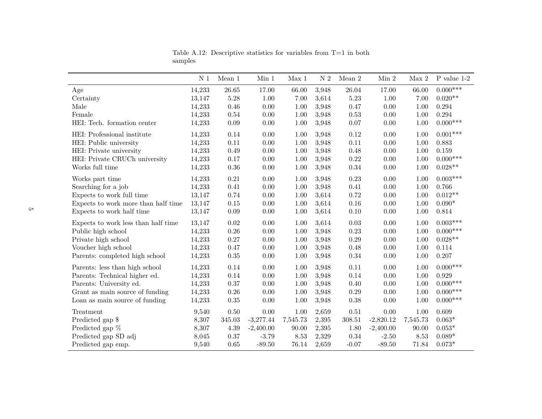|                                     | N <sub>1</sub> | Mean $1$  | Min 1       | Max 1    | $\mathcal{N}\,2$ | Mean $2\,$ | $\rm{Min}$ 2 | ${\rm Max}~2$ | P value $1-2$ |
|-------------------------------------|----------------|-----------|-------------|----------|------------------|------------|--------------|---------------|---------------|
| Age                                 | 14,233         | $26.65\,$ | 17.00       | 66.00    | 3,948            | 26.04      | 17.00        | 66.00         | $0.000***$    |
| Certainty                           | 13,147         | 5.28      | 1.00        | 7.00     | 3,614            | $5.23\,$   | 1.00         | 7.00          | $0.020**$     |
| Male                                | 14,233         | 0.46      | 0.00        | 1.00     | 3,948            | 0.47       | 0.00         | 1.00          | 0.294         |
| Female                              | 14,233         | 0.54      | 0.00        | 1.00     | 3,948            | 0.53       | $0.00\,$     | 1.00          | 0.294         |
| HEI: Tech. formation center         | 14,233         | $0.09\,$  | $0.00\,$    | 1.00     | 3,948            | 0.07       | $0.00\,$     | 1.00          | $0.000***$    |
| HEI: Professional institute         | 14,233         | 0.14      | 0.00        | 1.00     | 3,948            | 0.12       | 0.00         | 1.00          | $0.001***$    |
| HEI: Public university              | 14,233         | $0.11\,$  | 0.00        | 1.00     | 3,948            | $0.11\,$   | 0.00         | 1.00          | 0.883         |
| HEI: Private university             | 14,233         | 0.49      | $0.00\,$    | 1.00     | 3,948            | 0.48       | 0.00         | 1.00          | 0.159         |
| HEI: Private CRUCh university       | 14,233         | 0.17      | 0.00        | 1.00     | 3,948            | $0.22\,$   | 0.00         | 1.00          | $0.000***$    |
| Works full time                     | 14,233         | $0.36\,$  | 0.00        | 1.00     | 3,948            | $0.34\,$   | 0.00         | 1.00          | $0.028**$     |
| Works part time                     | 14,233         | 0.21      | 0.00        | 1.00     | 3,948            | 0.23       | 0.00         | 1.00          | $0.003***$    |
| Searching for a job                 | 14,233         | 0.41      | 0.00        | 1.00     | 3,948            | 0.41       | 0.00         | 1.00          | 0.766         |
| Expects to work full time           | 13,147         | 0.74      | 0.00        | 1.00     | 3,614            | 0.72       | 0.00         | 1.00          | $0.012**$     |
| Expects to work more than half time | 13,147         | $0.15\,$  | 0.00        | 1.00     | 3,614            | $0.16\,$   | 0.00         | 1.00          | $0.090*$      |
| Expects to work half time           | 13,147         | $0.09\,$  | $0.00\,$    | 1.00     | 3,614            | 0.10       | $0.00\,$     | 1.00          | 0.814         |
| Expects to work less than half time | 13,147         | $0.02\,$  | 0.00        | 1.00     | 3,614            | 0.03       | 0.00         | 1.00          | $0.003***$    |
| Public high school                  | 14,233         | $0.26\,$  | 0.00        | 1.00     | 3,948            | 0.23       | 0.00         | 1.00          | $0.000***$    |
| Private high school                 | 14,233         | $0.27\,$  | 0.00        | 1.00     | 3,948            | 0.29       | 0.00         | 1.00          | $0.028**$     |
| Voucher high school                 | 14,233         | 0.47      | 0.00        | 1.00     | 3,948            | 0.48       | 0.00         | 1.00          | 0.114         |
| Parents: completed high school      | 14,233         | $0.35\,$  | $0.00\,$    | 1.00     | 3,948            | $0.34\,$   | $0.00\,$     | 1.00          | 0.207         |
| Parents: less than high school      | 14,233         | 0.14      | 0.00        | 1.00     | 3,948            | 0.11       | 0.00         | 1.00          | $0.000***$    |
| Parents: Technical higher ed.       | 14,233         | 0.14      | $0.00\,$    | 1.00     | 3,948            | 0.14       | 0.00         | 1.00          | 0.929         |
| Parents: University ed.             | 14,233         | 0.37      | 0.00        | 1.00     | 3,948            | $0.40\,$   | 0.00         | 1.00          | $0.000***$    |
| Grant as main source of funding     | 14,233         | $0.26\,$  | 0.00        | 1.00     | 3,948            | 0.29       | 0.00         | 1.00          | $0.000***$    |
| Loan as main source of funding      | 14,233         | 0.35      | $0.00\,$    | 1.00     | 3,948            | $0.38\,$   | $0.00\,$     | 1.00          | $0.000***$    |
| Treatment                           | 9,540          | 0.50      | 0.00        | 1.00     | 2,659            | 0.51       | 0.00         | 1.00          | 0.609         |
| Predicted gap \$                    | 8,307          | 345.03    | $-3,277.44$ | 7,545.73 | 2,395            | 308.51     | $-2,820.12$  | 7,545.73      | $0.063*$      |
| Predicted gap %                     | 8,307          | 4.39      | $-2,400.00$ | 90.00    | 2,395            | 1.80       | $-2,400.00$  | 90.00         | $0.053*$      |
| Predicted gap SD adj                | 8,045          | 0.37      | $-3.79$     | 8.53     | 2,329            | 0.34       | $-2.50$      | 8.53          | $0.089*$      |
| Predicted gap emp.                  | 9,540          | 0.65      | $-89.50$    | 76.14    | 2,659            | $-0.07$    | $-89.50$     | 71.84         | $0.073*$      |

Table A.12: Descriptive statistics for variables from T=1 in bothsamples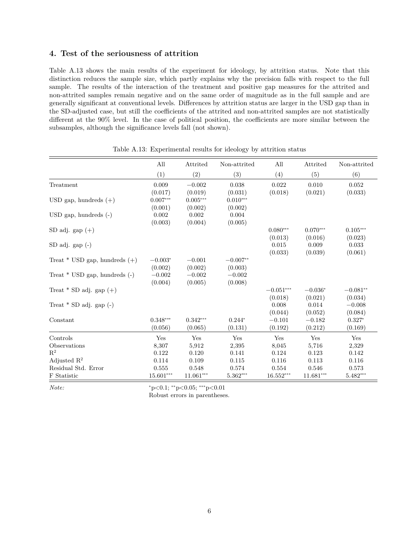#### **4. Test of the seriousness of attrition**

Table A.13 shows the main results of the experiment for ideology, by attrition status. Note that this distinction reduces the sample size, which partly explains why the precision falls with respect to the full sample. The results of the interaction of the treatment and positive gap measures for the attrited and non-attrited samples remain negative and on the same order of magnitude as in the full sample and are generally significant at conventional levels. Differences by attrition status are larger in the USD gap than in the SD-adjusted case, but still the coefficients of the attrited and non-attrited samples are not statistically different at the 90% level. In the case of political position, the coefficients are more similar between the subsamples, although the significance levels fall (not shown).

|                                   | All                   | Attrited              | Non-attrited          | All                    | Attrited              | Non-attrited          |
|-----------------------------------|-----------------------|-----------------------|-----------------------|------------------------|-----------------------|-----------------------|
|                                   | (1)                   | (2)                   | (3)                   | (4)                    | (5)                   | (6)                   |
| Treatment                         | 0.009<br>(0.017)      | $-0.002$<br>(0.019)   | 0.038<br>(0.031)      | 0.022<br>(0.018)       | 0.010<br>(0.021)      | 0.052<br>(0.033)      |
| USD gap, hundreds $(+)$           | $0.007***$<br>(0.001) | $0.005***$<br>(0.002) | $0.010***$<br>(0.002) |                        |                       |                       |
| $USD$ gap, hundreds $(-)$         | 0.002<br>(0.003)      | 0.002<br>(0.004)      | 0.004<br>(0.005)      |                        |                       |                       |
| SD adj. gap $(+)$                 |                       |                       |                       | $0.080***$<br>(0.013)  | $0.070***$<br>(0.016) | $0.105***$<br>(0.023) |
| $SD$ adj. $gap(-)$                |                       |                       |                       | 0.015<br>(0.033)       | 0.009<br>(0.039)      | 0.033<br>(0.061)      |
| Treat $*$ USD gap, hundreds $(+)$ | $-0.003*$<br>(0.002)  | $-0.001$<br>(0.002)   | $-0.007**$<br>(0.003) |                        |                       |                       |
| Treat $*$ USD gap, hundreds $(-)$ | $-0.002$<br>(0.004)   | $-0.002$<br>(0.005)   | $-0.002$<br>(0.008)   |                        |                       |                       |
| Treat $*$ SD adj. gap $(+)$       |                       |                       |                       | $-0.051***$<br>(0.018) | $-0.036*$<br>(0.021)  | $-0.081**$<br>(0.034) |
| Treat $*$ SD adj. gap $(-)$       |                       |                       |                       | 0.008<br>(0.044)       | 0.014<br>(0.052)      | $-0.008$<br>(0.084)   |
| Constant                          | $0.348***$<br>(0.056) | $0.342***$<br>(0.065) | $0.244*$<br>(0.131)   | $-0.101$<br>(0.192)    | $-0.182$<br>(0.212)   | $0.327*$<br>(0.169)   |
| Controls                          | Yes                   | Yes                   | Yes                   | Yes                    | Yes                   | Yes                   |
| Observations                      | 8,307                 | 5,912                 | 2,395                 | 8,045                  | 5,716                 | 2,329                 |
| $R^2$                             | 0.122                 | 0.120                 | 0.141                 | 0.124                  | 0.123                 | 0.142                 |
| Adjusted $R^2$                    | 0.114                 | 0.109                 | 0.115                 | 0.116                  | 0.113                 | 0.116                 |
| Residual Std. Error               | 0.555                 | 0.548                 | 0.574                 | 0.554                  | 0.546                 | 0.573                 |
| F Statistic                       | 15.601***             | 11.061***             | $5.362***$            | 16.552***              | 11.681***             | $5.482***$            |

Table A.13: Experimental results for ideology by attrition status

*Note:*  $*_{p<0.1; *_{p<0.05; * * *_{p<0.01}}$ 

Robust errors in parentheses.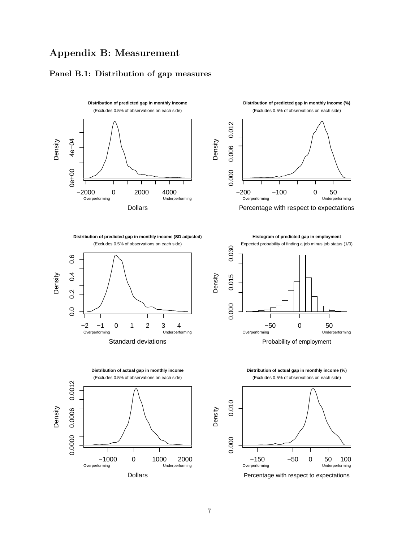## **Appendix B: Measurement**

## **Panel B.1: Distribution of gap measures**





**Distribution of predicted gap in monthly income (SD adjusted)**

(Excludes 0.5% of observations on each side)



**Distribution of actual gap in monthly income** (Excludes 0.5% of observations on each side) 0.0012 0.0000 0.0006 0.0012 Density 0.0006 0.0000 −1000 0 1000 2000<br>Overperforming Underperforming Underperforming Dollars

**Histogram of predicted gap in employment**



Probability of employment



Percentage with respect to expectations

Density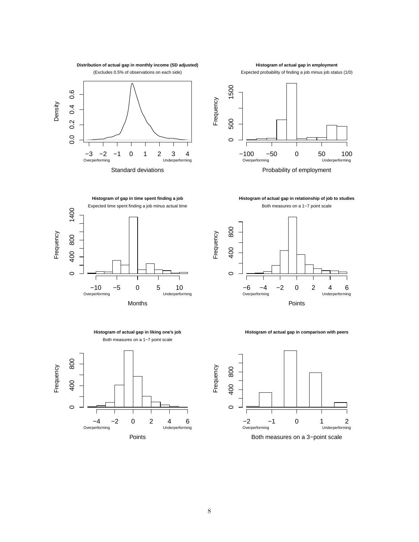



**Histogram of actual gap in employment**

**Histogram of actual gap in relationship of job to studies** Both measures on a 1−7 point scale





**Histogram of actual gap in comparison with peers**



 400 800 1400 **Frequency** 400 800  $\circ$ −10 −5 0 5 10<br>Overperforming 0 Underperfor Underperforming Months

1400



**Histogram of gap in time spent finding a job**

Expected time spent finding a job minus actual time



8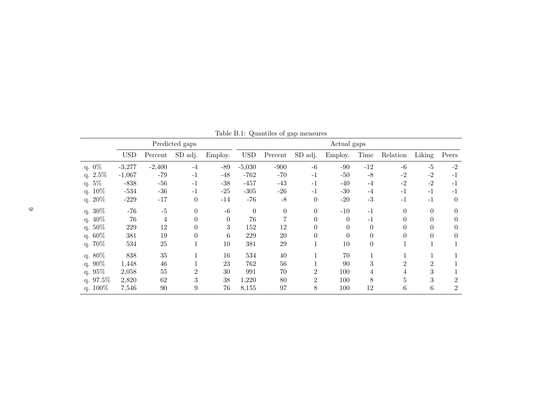|             |            |          | Predicted gaps |          | Actual gaps  |                  |                |          |          |                |                |                |
|-------------|------------|----------|----------------|----------|--------------|------------------|----------------|----------|----------|----------------|----------------|----------------|
|             | <b>USD</b> | Percent  | SD adj.        | Employ.  | $_{\rm USD}$ | Percent          | SD adj.        | Employ.  | Time     | Relation       | Liking         | Peers          |
| q. 0%       | $-3,277$   | $-2,400$ | $-4$           | $-89$    | $-5,030$     | $-900$           | $-6$           | $-90$    | $-12$    | $-6$           | $-5$           | $-2$           |
| q. $2.5\%$  | $-1,067$   | $-79$    | $-1$           | $-48$    | $-762$       | $-70$            | $-1$           | $-50$    | $-8$     | $-2$           | $-2$           | $-1$           |
| q. 5%       | $-838$     | $-56$    | $-1$           | $-38$    | $-457$       | $-43$            | $-1$           | $-40$    | $-4$     | $-2$           | $-2$           | $-1$           |
| q. 10%      | $-534$     | $-36$    | $-1$           | $-25$    | $-305$       | $-26$            | $-1$           | $-30$    | $-4$     | $-1$           | $-1$           | $-1$           |
| q. $20\%$   | $-229$     | $-17$    | $\theta$       | $-14$    | $-76$        | $-8$             | $\theta$       | $-20$    | $-3$     | $-1$           | $-1$           | $\overline{0}$ |
| q. 30%      | $-76$      | $-5$     | $\theta$       | $-6$     | $\theta$     | $\boldsymbol{0}$ | $\theta$       | $-10$    | $-1$     | $\Omega$       | $\Omega$       | $\Omega$       |
| q. 40%      | 76         | 4        | $\theta$       | $\Omega$ | $76\,$       | 7                | $\theta$       | 0        | $-1$     | 0              |                | $\Omega$       |
| q. 50%      | 229        | 12       | 0              | 3        | 152          | 12               | $\theta$       | $\theta$ | $\Omega$ | 0              |                | $\theta$       |
| q. $60\%$   | 381        | 19       | 0              | 6        | 229          | <b>20</b>        | $\theta$       | $\Omega$ | $\Omega$ | $\Omega$       | 0              | $\Omega$       |
| q. 70%      | 534        | 25       |                | 10       | 381          | 29               | 1              | 10       | $\theta$ |                |                |                |
| q. 80%      | 838        | 35       |                | 16       | 534          | 40               | 1              | 70       |          |                |                |                |
| q. $90\%$   | 1,448      | 46       |                | 23       | 762          | 56               |                | 90       | 3        | $\mathfrak{D}$ | $\overline{2}$ |                |
| q. $95\%$   | 2,058      | 55       | $\overline{2}$ | 30       | 991          | 70               | $\overline{2}$ | 100      | 4        |                | 3              |                |
| q. $97.5\%$ | 2,820      | 62       | 3              | 38       | 1,220        | 80               | $\overline{2}$ | 100      | 8        | 5              | 3              | $\overline{2}$ |
| q. $100\%$  | 7,546      | 90       | 9              | 76       | 8,155        | 97               | 8              | 100      | 12       | 6              | 6              | $\overline{2}$ |

Table B.1: Quantiles of gap measures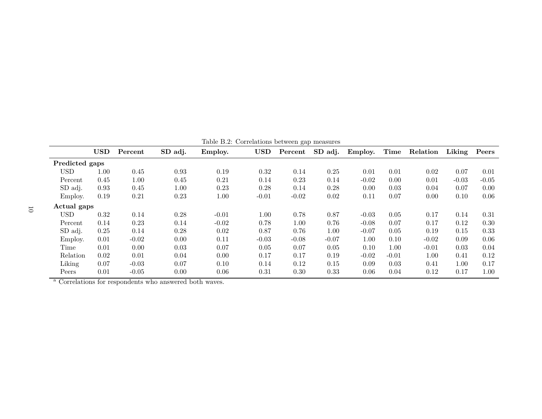|                | <b>USD</b> | Percent | SD adj.                                                            | Table D.2. Correlations between gap incasures<br>Employ. | <b>USD</b> | Percent | SD adj. | Employ. | Time    | Relation | Liking  | Peers   |
|----------------|------------|---------|--------------------------------------------------------------------|----------------------------------------------------------|------------|---------|---------|---------|---------|----------|---------|---------|
| Predicted gaps |            |         |                                                                    |                                                          |            |         |         |         |         |          |         |         |
| <b>USD</b>     | 1.00       | 0.45    | 0.93                                                               | 0.19                                                     | 0.32       | 0.14    | 0.25    | 0.01    | 0.01    | 0.02     | 0.07    | 0.01    |
| Percent        | 0.45       | 1.00    | 0.45                                                               | 0.21                                                     | 0.14       | 0.23    | 0.14    | $-0.02$ | 0.00    | 0.01     | $-0.03$ | $-0.05$ |
| SD adj.        | 0.93       | 0.45    | 1.00                                                               | 0.23                                                     | 0.28       | 0.14    | 0.28    | 0.00    | 0.03    | 0.04     | 0.07    | 0.00    |
| Employ.        | 0.19       | 0.21    | 0.23                                                               | 1.00                                                     | $-0.01$    | $-0.02$ | 0.02    | 0.11    | 0.07    | 0.00     | 0.10    | 0.06    |
| Actual gaps    |            |         |                                                                    |                                                          |            |         |         |         |         |          |         |         |
| <b>USD</b>     | 0.32       | 0.14    | 0.28                                                               | $-0.01$                                                  | 1.00       | 0.78    | 0.87    | $-0.03$ | 0.05    | 0.17     | 0.14    | 0.31    |
| Percent        | 0.14       | 0.23    | 0.14                                                               | $-0.02$                                                  | 0.78       | 1.00    | 0.76    | $-0.08$ | 0.07    | 0.17     | 0.12    | 0.30    |
| SD adj.        | 0.25       | 0.14    | 0.28                                                               | 0.02                                                     | 0.87       | 0.76    | 1.00    | $-0.07$ | 0.05    | 0.19     | 0.15    | 0.33    |
| Employ.        | 0.01       | $-0.02$ | 0.00                                                               | 0.11                                                     | $-0.03$    | $-0.08$ | $-0.07$ | 1.00    | 0.10    | $-0.02$  | 0.09    | 0.06    |
| Time           | 0.01       | 0.00    | 0.03                                                               | 0.07                                                     | 0.05       | 0.07    | 0.05    | 0.10    | 1.00    | $-0.01$  | 0.03    | 0.04    |
| Relation       | 0.02       | 0.01    | 0.04                                                               | 0.00                                                     | 0.17       | 0.17    | 0.19    | $-0.02$ | $-0.01$ | 1.00     | 0.41    | 0.12    |
| Liking         | 0.07       | $-0.03$ | 0.07                                                               | 0.10                                                     | 0.14       | 0.12    | 0.15    | 0.09    | 0.03    | 0.41     | 1.00    | 0.17    |
| Peers          | 0.01       | $-0.05$ | 0.00                                                               | 0.06                                                     | 0.31       | 0.30    | 0.33    | 0.06    | 0.04    | 0.12     | 0.17    | 1.00    |
|                |            |         | <sup>a</sup> Correlations for respondents who answered both waves. |                                                          |            |         |         |         |         |          |         |         |

Table B.2: Correlations between gap measures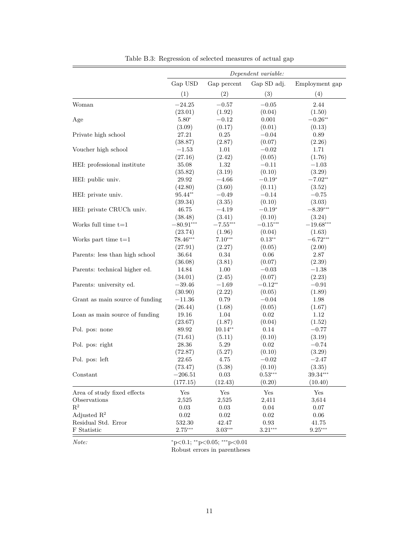| Gap USD<br>Gap percent<br>Gap SD adj.<br>Employment gap<br>(1)<br>(2)<br>(3)<br>(4)<br>Woman<br>$-24.25$<br>$-0.57$<br>$-0.05$<br>2.44<br>(23.01)<br>(1.92)<br>(0.04)<br>(1.50)<br>$5.80*$<br>$-0.26**$<br>$-0.12$<br>0.001<br>Age |  |
|------------------------------------------------------------------------------------------------------------------------------------------------------------------------------------------------------------------------------------|--|
|                                                                                                                                                                                                                                    |  |
|                                                                                                                                                                                                                                    |  |
|                                                                                                                                                                                                                                    |  |
|                                                                                                                                                                                                                                    |  |
|                                                                                                                                                                                                                                    |  |
| (3.09)<br>(0.17)<br>(0.01)<br>(0.13)                                                                                                                                                                                               |  |
| Private high school<br>27.21<br>0.25<br>$-0.04$<br>0.89                                                                                                                                                                            |  |
| (38.87)<br>(2.87)<br>(0.07)<br>(2.26)                                                                                                                                                                                              |  |
| Voucher high school<br>1.01<br>1.71<br>$-1.53\,$<br>$-0.02$                                                                                                                                                                        |  |
| (27.16)<br>(2.42)<br>(0.05)<br>(1.76)                                                                                                                                                                                              |  |
| HEI: professional institute<br>1.32<br>35.08<br>$-0.11$<br>$-1.03$                                                                                                                                                                 |  |
| (3.19)<br>(35.82)<br>(0.10)<br>(3.29)                                                                                                                                                                                              |  |
| HEI: public univ.<br>$-4.66$<br>$-0.19*$<br>$-7.02**$<br>29.92                                                                                                                                                                     |  |
| (42.80)<br>(3.60)<br>(0.11)<br>(3.52)                                                                                                                                                                                              |  |
| 95.44**<br>HEI: private univ.<br>$-0.49$<br>$-0.14$<br>$-0.75$                                                                                                                                                                     |  |
| (3.35)<br>(0.10)<br>(3.03)<br>(39.34)                                                                                                                                                                                              |  |
| 46.75<br>$-4.19$<br>$-0.19*$<br>$-8.39***$<br>HEI: private CRUCh univ.                                                                                                                                                             |  |
| (38.48)<br>(3.41)<br>(0.10)<br>(3.24)                                                                                                                                                                                              |  |
| $-7.55***$<br>Works full time $t=1$<br>$-80.91***$<br>$-0.15***$<br>$-19.68***$                                                                                                                                                    |  |
| (23.74)<br>(1.96)<br>(0.04)<br>(1.63)                                                                                                                                                                                              |  |
| Works part time $t=1$<br>78.46***<br>$7.10***$<br>$0.13**$<br>$-6.72***$                                                                                                                                                           |  |
| (27.91)<br>(2.27)<br>(2.00)<br>(0.05)                                                                                                                                                                                              |  |
| Parents: less than high school<br>36.64<br>0.34<br>0.06<br>2.87                                                                                                                                                                    |  |
| (36.08)<br>(3.81)<br>(0.07)<br>(2.39)                                                                                                                                                                                              |  |
| Parents: technical higher ed.<br>14.84<br>1.00<br>$-0.03$<br>$-1.38$                                                                                                                                                               |  |
| (34.01)<br>(2.45)<br>(0.07)<br>(2.23)                                                                                                                                                                                              |  |
| $-0.12**$<br>Parents: university ed.<br>$-39.46$<br>$-1.69$<br>$-0.91$                                                                                                                                                             |  |
| (2.22)<br>(30.90)<br>(0.05)<br>(1.89)                                                                                                                                                                                              |  |
| Grant as main source of funding<br>$-11.36$<br>0.79<br>$-0.04$<br>1.98                                                                                                                                                             |  |
| (26.44)<br>(1.68)<br>(0.05)<br>(1.67)                                                                                                                                                                                              |  |
| Loan as main source of funding<br>19.16<br>1.04<br>0.02<br>1.12                                                                                                                                                                    |  |
| (23.67)<br>(1.87)<br>(0.04)<br>(1.52)                                                                                                                                                                                              |  |
| 89.92<br>$10.14**$<br>0.14<br>Pol. pos: none<br>$-0.77$                                                                                                                                                                            |  |
| (71.61)<br>(5.11)<br>(0.10)<br>(3.19)                                                                                                                                                                                              |  |
| Pol. pos: right<br>28.36<br>5.29<br>0.02<br>$-0.74$                                                                                                                                                                                |  |
| (72.87)<br>(5.27)<br>(0.10)<br>(3.29)                                                                                                                                                                                              |  |
| Pol. pos: left<br>22.65<br>4.75<br>$-0.02$<br>$-2.47$                                                                                                                                                                              |  |
| (73.47)<br>(5.38)<br>(0.10)<br>(3.35)                                                                                                                                                                                              |  |
| $-206.51$<br>$0.53***$<br>$39.34***$<br>Constant<br>0.03                                                                                                                                                                           |  |
| (177.15)<br>(0.20)<br>(12.43)<br>(10.40)                                                                                                                                                                                           |  |
| Yes<br>Yes<br>Yes<br>$\operatorname{Yes}$<br>Area of study fixed effects                                                                                                                                                           |  |
| Observations<br>2,525<br>2,525<br>2,411<br>3,614                                                                                                                                                                                   |  |
| $\mathbf{R}^2$<br>0.03<br>0.03<br>0.04<br>0.07                                                                                                                                                                                     |  |
| Adjusted $\mathbb{R}^2$<br>$0.02\,$<br>$0.02\,$<br>$0.02\,$<br>$0.06\,$                                                                                                                                                            |  |
| Residual Std. Error<br>42.47<br>0.93<br>532.30<br>41.75                                                                                                                                                                            |  |
| $2.75***$<br>$3.03^{\ast\ast\ast}$<br>$3.21***$<br>$9.25***$<br>F Statistic                                                                                                                                                        |  |

Table B.3: Regression of selected measures of actual gap

*Note:*  $*_{p<0.1; *_{p<0.05; *_{p<0.01}}$ Robust errors in parentheses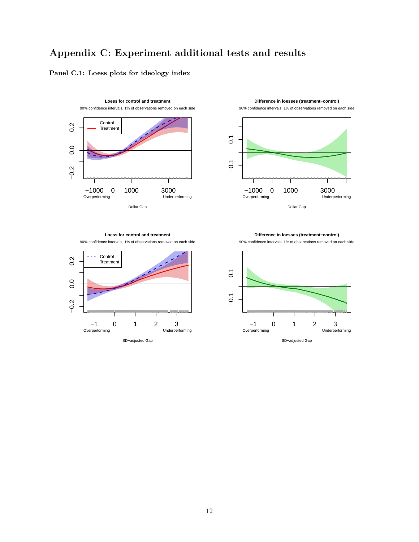## **Appendix C: Experiment additional tests and results**

### **Panel C.1: Loess plots for ideology index**





**Difference in loesses (treatment−control)**

**Loess for control and treatment** 90% confidence intervals, 1% of observations removed on each side



90% confidence intervals, 1% of observations removed on each side

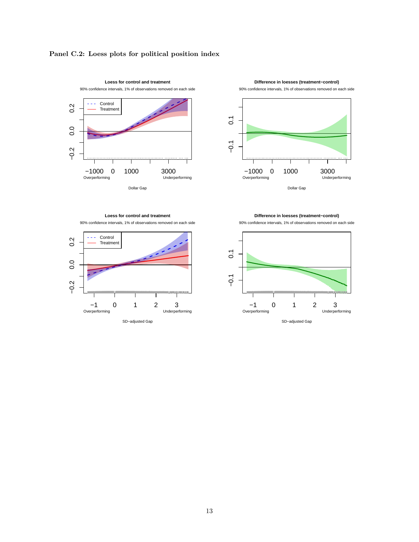





**Loess for control and treatment**





**Difference in loesses (treatment−control)**



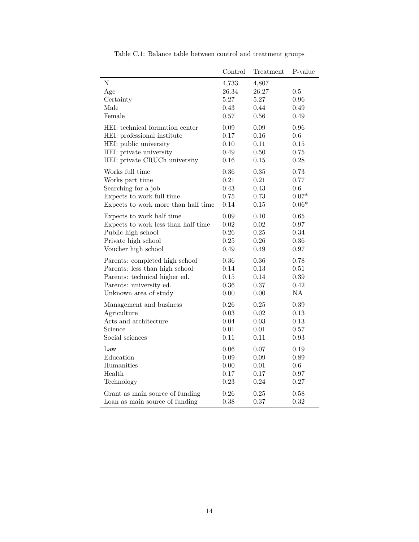|                                     | Control | Treatment  | P-value  |
|-------------------------------------|---------|------------|----------|
| $\overline{N}$                      | 4,733   | 4,807      |          |
| Age                                 | 26.34   | 26.27      | 0.5      |
| Certainty                           | 5.27    | 5.27       | 0.96     |
| Male                                | 0.43    | 0.44       | 0.49     |
| Female                              | 0.57    | $0.56\,$   | 0.49     |
| HEI: technical formation center     | 0.09    | 0.09       | 0.96     |
| HEI: professional institute         | 0.17    | 0.16       | 0.6      |
| HEI: public university              | 0.10    | 0.11       | 0.15     |
| HEI: private university             | 0.49    | $0.50\,$   | 0.75     |
| HEI: private CRUCh university       | 0.16    | 0.15       | 0.28     |
| Works full time                     | 0.36    | 0.35       | 0.73     |
| Works part time                     | 0.21    | 0.21       | 0.77     |
| Searching for a job                 | 0.43    | 0.43       | 0.6      |
| Expects to work full time           | 0.75    | 0.73       | $0.07*$  |
| Expects to work more than half time | 0.14    | 0.15       | $0.06*$  |
| Expects to work half time           | 0.09    | 0.10       | 0.65     |
| Expects to work less than half time | 0.02    | 0.02       | 0.97     |
| Public high school                  | 0.26    | 0.25       | 0.34     |
| Private high school                 | 0.25    | 0.26       | 0.36     |
| Voucher high school                 | 0.49    | 0.49       | 0.97     |
| Parents: completed high school      | 0.36    | 0.36       | 0.78     |
| Parents: less than high school      | 0.14    | 0.13       | 0.51     |
| Parents: technical higher ed.       | 0.15    | 0.14       | $0.39\,$ |
| Parents: university ed.             | 0.36    | 0.37       | 0.42     |
| Unknown area of study               | 0.00    | 0.00       | NA       |
| Management and business             | 0.26    | 0.25       | 0.39     |
| Agriculture                         | 0.03    | $\,0.02\,$ | 0.13     |
| Arts and architecture               | 0.04    | $0.03\,$   | 0.13     |
| Science                             | 0.01    | 0.01       | 0.57     |
| Social sciences                     | 0.11    | 0.11       | 0.93     |
| Law                                 | 0.06    | 0.07       | 0.19     |
| Education                           | 0.09    | 0.09       | 0.89     |
| Humanities                          | 0.00    | 0.01       | 0.6      |
| Health                              | 0.17    | 0.17       | 0.97     |
| Technology                          | 0.23    | 0.24       | 0.27     |
| Grant as main source of funding     | 0.26    | 0.25       | 0.58     |
| Loan as main source of funding      | 0.38    | 0.37       | 0.32     |

Table C.1: Balance table between control and treatment groups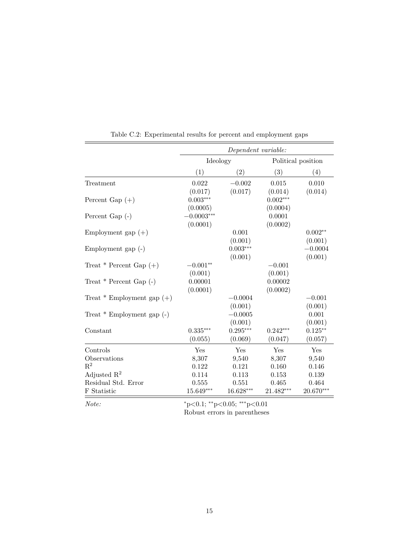|                                | Dependent variable: |                   |             |                    |  |  |  |  |
|--------------------------------|---------------------|-------------------|-------------|--------------------|--|--|--|--|
|                                | Ideology            |                   |             | Political position |  |  |  |  |
|                                | (1)                 | $\left( 2\right)$ | (3)         | (4)                |  |  |  |  |
| Treatment                      | 0.022               | $-0.002$          | 0.015       | 0.010              |  |  |  |  |
|                                | (0.017)             | (0.017)           | (0.014)     | (0.014)            |  |  |  |  |
| Percent Gap $(+)$              | $0.003***$          |                   | $0.002***$  |                    |  |  |  |  |
|                                | (0.0005)            |                   | (0.0004)    |                    |  |  |  |  |
| Percent Gap $(-)$              | $-0.0003***$        |                   | 0.0001      |                    |  |  |  |  |
|                                | (0.0001)            |                   | (0.0002)    |                    |  |  |  |  |
| Employment gap $(+)$           |                     | 0.001             |             | $0.002**$          |  |  |  |  |
|                                |                     | (0.001)           |             | (0.001)            |  |  |  |  |
| Employment gap $(-)$           |                     | $0.003***$        |             | $-0.0004$          |  |  |  |  |
|                                |                     | (0.001)           |             | (0.001)            |  |  |  |  |
| Treat $*$ Percent Gap $(+)$    | $-0.001**$          |                   | $-0.001$    |                    |  |  |  |  |
|                                | (0.001)             |                   | (0.001)     |                    |  |  |  |  |
| Treat $*$ Percent Gap $(-)$    | 0.00001             |                   | 0.00002     |                    |  |  |  |  |
|                                | (0.0001)            |                   | (0.0002)    |                    |  |  |  |  |
| Treat $*$ Employment gap $(+)$ |                     | $-0.0004$         |             | $-0.001$           |  |  |  |  |
|                                |                     | (0.001)           |             | (0.001)            |  |  |  |  |
| Treat $*$ Employment gap $(-)$ |                     | $-0.0005$         |             | 0.001              |  |  |  |  |
|                                |                     | (0.001)           |             | (0.001)            |  |  |  |  |
| Constant                       | $0.335***$          | $0.295***$        | $0.242***$  | $0.125**$          |  |  |  |  |
|                                | (0.055)             | (0.069)           | (0.047)     | (0.057)            |  |  |  |  |
| Controls                       | Yes                 | Yes               | Yes         | Yes                |  |  |  |  |
| Observations                   | 8,307               | 9,540             | 8,307       | 9,540              |  |  |  |  |
| $R^2$                          | 0.122               | 0.121             | 0.160       | 0.146              |  |  |  |  |
| Adjusted $\mathbb{R}^2$        | 0.114               | 0.113             | 0.153       | 0.139              |  |  |  |  |
| Residual Std. Error            | 0.555               | 0.551             | 0.465       | 0.464              |  |  |  |  |
| F Statistic                    | 15.649***           | 16.628***         | $21.482***$ | $20.670***$        |  |  |  |  |

Table C.2: Experimental results for percent and employment gaps

 $=$ 

*Note:*  $*_{p<0.1; *_{p<0.05; **_{p<0.01}}$ Robust errors in parentheses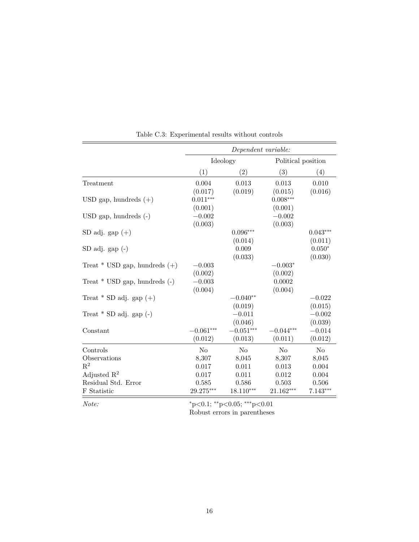|                                   |             | Dependent variable: |                    |                |
|-----------------------------------|-------------|---------------------|--------------------|----------------|
|                                   | Ideology    |                     | Political position |                |
|                                   | (1)         | $\left( 2\right)$   | (3)                | (4)            |
| Treatment                         | 0.004       | 0.013               | 0.013              | 0.010          |
|                                   | (0.017)     | (0.019)             | (0.015)            | (0.016)        |
| USD gap, hundreds $(+)$           | $0.011***$  |                     | $0.008***$         |                |
|                                   | (0.001)     |                     | (0.001)            |                |
| $USD$ gap, hundreds $(-)$         | $-0.002$    |                     | $-0.002$           |                |
|                                   | (0.003)     |                     | (0.003)            |                |
| $SD adj. gap (+)$                 |             | $0.096***$          |                    | $0.043***$     |
|                                   |             | (0.014)             |                    | (0.011)        |
| $SD$ adj. gap $(-)$               |             | 0.009               |                    | $0.050*$       |
|                                   |             | (0.033)             |                    | (0.030)        |
| Treat $*$ USD gap, hundreds $(+)$ | $-0.003$    |                     | $-0.003*$          |                |
|                                   | (0.002)     |                     | (0.002)            |                |
| Treat $*$ USD gap, hundreds $(-)$ | $-0.003$    |                     | 0.0002             |                |
|                                   | (0.004)     |                     | (0.004)            |                |
| Treat * SD adj. gap $(+)$         |             | $-0.040**$          |                    | $-0.022$       |
|                                   |             | (0.019)             |                    | (0.015)        |
| Treat $*$ SD adj. gap $(-)$       |             | $-0.011$            |                    | $-0.002$       |
|                                   |             | (0.046)             |                    | (0.039)        |
| Constant                          | $-0.061***$ | $-0.051***$         | $-0.044***$        | $-0.014$       |
|                                   | (0.012)     | (0.013)             | (0.011)            | (0.012)        |
| Controls                          | No          | No                  | N <sub>o</sub>     | N <sub>o</sub> |
| Observations                      | 8,307       | 8,045               | 8,307              | 8,045          |
| $R^2$                             | 0.017       | 0.011               | 0.013              | 0.004          |
| Adjusted $\mathbb{R}^2$           | 0.017       | 0.011               | 0.012              | 0.004          |
| Residual Std. Error               | 0.585       | 0.586               | 0.503              | 0.506          |
| F Statistic                       | 29.275***   | $18.110***$         | $21.162***$        | $7.143***$     |

Table C.3: Experimental results without controls

*Note:*  $*_{p<0.1;}$  ∗\* $_{p<0.05;}$  ∗\* $_{p<0.01}$ 

Robust errors in parentheses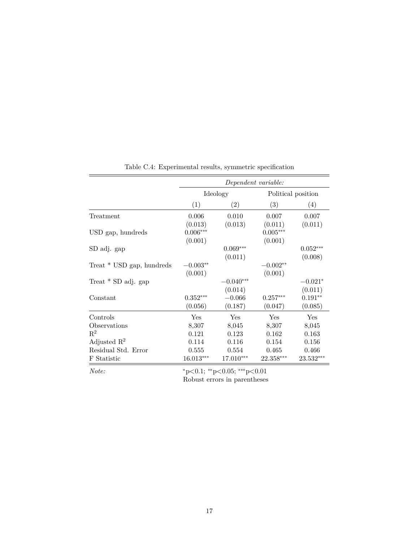|                           |             | Dependent variable:                     |                    |            |  |
|---------------------------|-------------|-----------------------------------------|--------------------|------------|--|
|                           |             | Ideology                                | Political position |            |  |
|                           | (1)         | $\left( 2\right)$                       | (3)                | (4)        |  |
| Treatment                 | 0.006       | 0.010                                   | 0.007              | 0.007      |  |
|                           | (0.013)     | (0.013)                                 | (0.011)            | (0.011)    |  |
| USD gap, hundreds         | $0.006***$  |                                         | $0.005***$         |            |  |
|                           | (0.001)     |                                         | (0.001)            |            |  |
| SD adj. gap               |             | $0.069***$                              |                    | $0.052***$ |  |
|                           |             | (0.011)                                 |                    | (0.008)    |  |
| Treat * USD gap, hundreds | $-0.003**$  |                                         | $-0.002**$         |            |  |
|                           | (0.001)     |                                         | (0.001)            |            |  |
| Treat $*$ SD adj. gap     |             | $-0.040^{***}\,$                        |                    | $-0.021*$  |  |
|                           |             | (0.014)                                 |                    | (0.011)    |  |
| Constant                  | $0.352***$  | $-0.066$                                | $0.257***$         | $0.191**$  |  |
|                           | (0.056)     | (0.187)                                 | (0.047)            | (0.085)    |  |
| Controls                  | Yes         | Yes                                     | Yes                | Yes        |  |
| Observations              | 8,307       | 8,045                                   | 8,307              | 8,045      |  |
| $\mathbb{R}^2$            | 0.121       | 0.123                                   | 0.162              | 0.163      |  |
| Adjusted $\mathbb{R}^2$   | 0.114       | $0.116\,$                               | 0.154              | 0.156      |  |
| Residual Std. Error       | 0.555       | 0.554                                   | 0.465              | 0.466      |  |
| F Statistic               | $16.013***$ | 17.010***                               | 22.358***          | 23.532***  |  |
| Note:                     |             | $*_{p<0.1;}$ $*_{p<0.05;}$ $*_{p<0.01}$ |                    |            |  |

Table C.4: Experimental results, symmetric specification

Robust errors in parentheses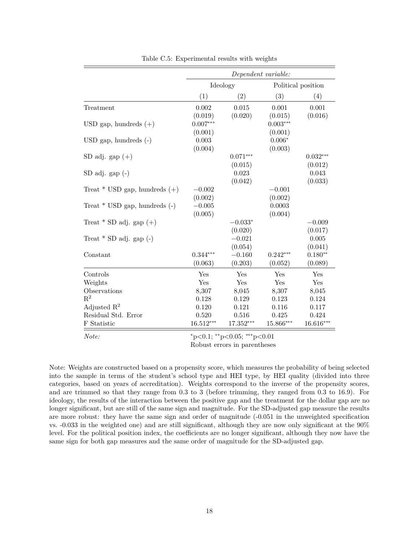|                                   |             |            | Dependent variable: |                    |
|-----------------------------------|-------------|------------|---------------------|--------------------|
|                                   |             | Ideology   |                     | Political position |
|                                   | (1)         | (2)        | (3)                 | (4)                |
| Treatment                         | 0.002       | 0.015      | 0.001               | 0.001              |
|                                   | (0.019)     | (0.020)    | (0.015)             | (0.016)            |
| USD gap, hundreds $(+)$           | $0.007***$  |            | $0.003***$          |                    |
|                                   | (0.001)     |            | (0.001)             |                    |
| $USD$ gap, hundreds $(-)$         | 0.003       |            | $0.006*$            |                    |
|                                   | (0.004)     |            | (0.003)             |                    |
| SD adj. gap $(+)$                 |             | $0.071***$ |                     | $0.032***$         |
|                                   |             | (0.015)    |                     | (0.012)            |
| $SD$ adj. $gap(-)$                |             | 0.023      |                     | 0.043              |
|                                   |             | (0.042)    |                     | (0.033)            |
| Treat $*$ USD gap, hundreds $(+)$ | $-0.002$    |            | $-0.001$            |                    |
|                                   | (0.002)     |            | (0.002)             |                    |
| Treat $*$ USD gap, hundreds $(-)$ | $-0.005$    |            | 0.0003              |                    |
|                                   | (0.005)     |            | (0.004)             |                    |
| Treat $*$ SD adj. gap $(+)$       |             | $-0.033*$  |                     | $-0.009$           |
|                                   |             | (0.020)    |                     | (0.017)            |
| Treat $*$ SD adj. gap $(-)$       |             | $-0.021$   |                     | 0.005              |
|                                   |             | (0.054)    |                     | (0.041)            |
| Constant                          | $0.344***$  | $-0.160$   | $0.242***$          | $0.180**$          |
|                                   | (0.063)     | (0.203)    | (0.052)             | (0.089)            |
| Controls                          | Yes         | Yes        | Yes                 | Yes                |
| Weights                           | Yes         | Yes        | Yes                 | Yes                |
| Observations                      | 8,307       | 8,045      | 8,307               | 8,045              |
| $\mathbf{R}^2$                    | 0.128       | 0.129      | 0.123               | 0.124              |
| Adjusted $\mathbb{R}^2$           | 0.120       | 0.121      | 0.116               | 0.117              |
| Residual Std. Error               | 0.520       | 0.516      | 0.425               | 0.424              |
| F Statistic                       | $16.512***$ | 17.352***  | $15.866***$         | 16.616***          |
|                                   |             |            |                     |                    |

Table C.5: Experimental results with weights

*Note:* \* *p*<0.1; \* *p*<0.05; \* *\* p*<0.01

Robust errors in parentheses

Note: Weights are constructed based on a propensity score, which measures the probability of being selected into the sample in terms of the student's school type and HEI type, by HEI quality (divided into three categories, based on years of accreditation). Weights correspond to the inverse of the propensity scores, and are trimmed so that they range from 0.3 to 3 (before trimming, they ranged from 0.3 to 16.9). For ideology, the results of the interaction between the positive gap and the treatment for the dollar gap are no longer significant, but are still of the same sign and magnitude. For the SD-adjusted gap measure the results are more robust: they have the same sign and order of magnitude (-0.051 in the unweighted specification vs. -0.033 in the weighted one) and are still significant, although they are now only significant at the 90% level. For the political position index, the coefficients are no longer significant, although they now have the same sign for both gap measures and the same order of magnitude for the SD-adjusted gap.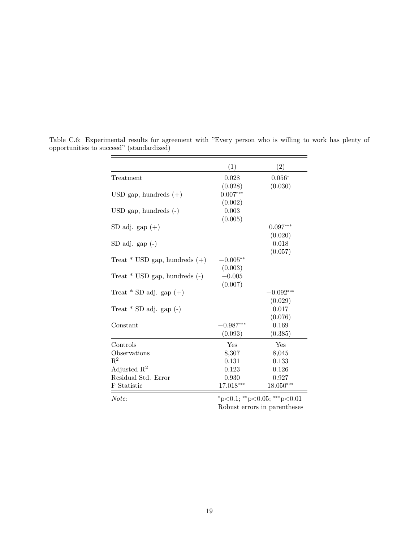|                                   | (1)         | (2)                         |
|-----------------------------------|-------------|-----------------------------|
| The at ment                       | 0.028       | $0.056*$                    |
|                                   | (0.028)     | (0.030)                     |
| USD gap, hundreds $(+)$           | $0.007***$  |                             |
|                                   | (0.002)     |                             |
| $USD$ gap, hundreds $(-)$         | 0.003       |                             |
|                                   | (0.005)     |                             |
| SD adj. gap $(+)$                 |             | $0.097***$                  |
|                                   |             | (0.020)                     |
| $SD$ adj. gap $(-)$               |             | 0.018                       |
|                                   |             | (0.057)                     |
| Treat $*$ USD gap, hundreds $(+)$ | $-0.005**$  |                             |
|                                   | (0.003)     |                             |
| Treat $*$ USD gap, hundreds $(-)$ | $-0.005$    |                             |
|                                   | (0.007)     |                             |
| Treat $*$ SD adj. gap $(+)$       |             | $-0.092***$                 |
|                                   |             | (0.029)                     |
| Treat $*$ SD adj. gap $(-)$       |             | 0.017                       |
|                                   |             | (0.076)                     |
| Constant                          | $-0.987***$ | 0.169                       |
|                                   | (0.093)     | (0.385)                     |
| Controls                          | Yes         | Yes                         |
| Observations                      | 8,307       | 8,045                       |
| $\mathrm{R}^2$                    | 0.131       | 0.133                       |
| Adjusted $\mathbb{R}^2$           | 0.123       | 0.126                       |
| Residual Std. Error               | 0.930       | 0.927                       |
| F Statistic                       | 17.018***   | 18.050***                   |
| Note:                             |             | *p<0.1; **p<0.05; ***p<0.01 |

Table C.6: Experimental results for agreement with "Every person who is willing to work has plenty of opportunities to succeed" (standardized)

Robust errors in parentheses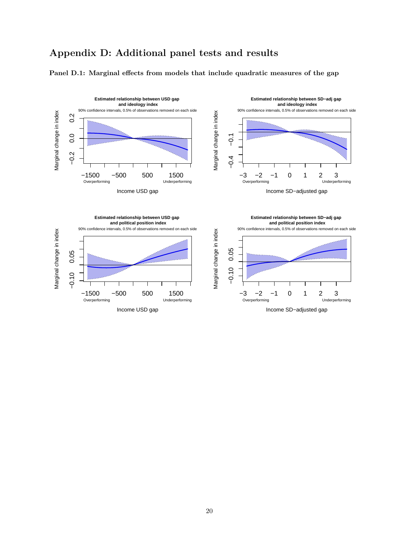## **Appendix D: Additional panel tests and results**

#### **Panel D.1: Marginal effects from models that include quadratic measures of the gap**

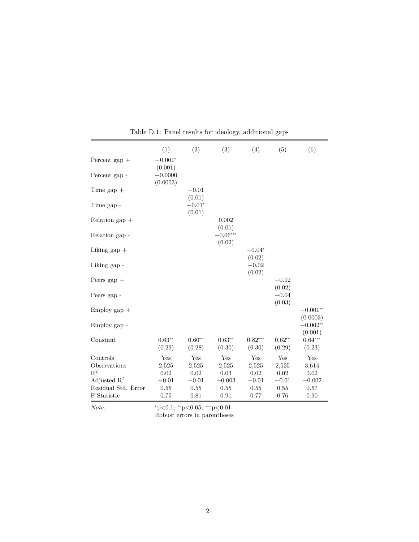|                     | (1)                   | (2)                | (3)                  | (4)                      | (5)                | (6)                    |
|---------------------|-----------------------|--------------------|----------------------|--------------------------|--------------------|------------------------|
| Percent gap $+$     | $-0.001*$<br>(0.001)  |                    |                      |                          |                    |                        |
| Percent gap -       | $-0.0000$<br>(0.0003) |                    |                      |                          |                    |                        |
| Time gap $+$        |                       | $-0.01$<br>(0.01)  |                      |                          |                    |                        |
| Time gap -          |                       | $-0.01*$<br>(0.01) |                      |                          |                    |                        |
| Relation gap $+$    |                       |                    | 0.002<br>(0.01)      |                          |                    |                        |
| Relation gap -      |                       |                    | $-0.06***$<br>(0.02) |                          |                    |                        |
| Liking gap $+$      |                       |                    |                      | $-0.04^{\ast}$<br>(0.02) |                    |                        |
| Liking gap -        |                       |                    |                      | $-0.02$<br>(0.02)        |                    |                        |
| Peers gap $+$       |                       |                    |                      |                          | $-0.02$<br>(0.02)  |                        |
| Peers gap -         |                       |                    |                      |                          | $-0.04$<br>(0.03)  |                        |
| Employ gap $+$      |                       |                    |                      |                          |                    | $-0.001**$<br>(0.0003) |
| Employ gap -        |                       |                    |                      |                          |                    | $-0.002**$<br>(0.001)  |
| Constant            | $0.63**$<br>(0.29)    | $0.60**$<br>(0.28) | $0.63**$<br>(0.30)   | $0.82***$<br>(0.30)      | $0.62**$<br>(0.29) | $0.64***$<br>(0.23)    |
| Controls            | Yes                   | Yes                | Yes                  | Yes                      | Yes                | Yes                    |
| Observations        | 2,525                 | 2,525              | 2,525                | 2,525                    | 2,525              | 3,614                  |
| $\mathbf{R}^2$      | 0.02                  | 0.02               | 0.03                 | $\rm 0.02$               | 0.02               | 0.02                   |
| Adjusted $R^2$      | $-0.01$               | $-0.01$            | $-0.003$             | $-0.01$                  | $-0.01$            | $-0.002$               |
| Residual Std. Error | 0.55                  | 0.55               | 0.55                 | 0.55                     | 0.55               | 0.57                   |
| F Statistic         | 0.75                  | 0.81               | 0.91                 | 0.77                     | 0.76               | 0.90                   |

Table D.1: Panel results for ideology, additional gaps

*Note:* \* *p*<0.1; \* *p*<0.05; \* *\* p*<0.01 Robust errors in parentheses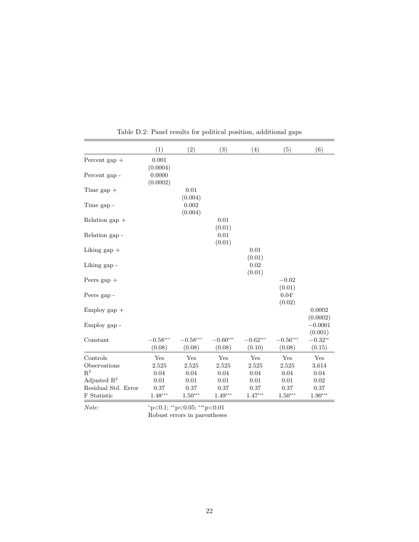|                         | (1)                  | (2)                  | (3)                  | (4)                  | (5)                  | (6)                  |
|-------------------------|----------------------|----------------------|----------------------|----------------------|----------------------|----------------------|
| Percent gap $+$         | 0.001<br>(0.0004)    |                      |                      |                      |                      |                      |
| Percent gap -           | 0.0000<br>(0.0002)   |                      |                      |                      |                      |                      |
| Time gap $+$            |                      | 0.01<br>(0.004)      |                      |                      |                      |                      |
| Time gap -              |                      | 0.002<br>(0.004)     |                      |                      |                      |                      |
| Relation gap $+$        |                      |                      | 0.01<br>(0.01)       |                      |                      |                      |
| Relation gap -          |                      |                      | 0.01<br>(0.01)       |                      |                      |                      |
| Liking $\gamma$         |                      |                      |                      | 0.01<br>(0.01)       |                      |                      |
| Liking gap -            |                      |                      |                      | 0.02<br>(0.01)       |                      |                      |
| Peers gap $+$           |                      |                      |                      |                      | $-0.02$<br>(0.01)    |                      |
| Peers gap -             |                      |                      |                      |                      | $0.04*$<br>(0.02)    |                      |
| $Employ gap +$          |                      |                      |                      |                      |                      | 0.0002<br>(0.0002)   |
| Employ gap -            |                      |                      |                      |                      |                      | $-0.0001$<br>(0.001) |
| Constant                | $-0.58***$<br>(0.08) | $-0.58***$<br>(0.08) | $-0.60***$<br>(0.08) | $-0.62***$<br>(0.10) | $-0.56***$<br>(0.08) | $-0.32**$<br>(0.15)  |
| Controls                | Yes                  | Yes                  | Yes                  | Yes                  | Yes                  | Yes                  |
| Observations            | 2,525                | 2,525                | 2,525                | 2,525                | 2,525                | 3,614                |
| $\mathbf{R}^2$          | 0.04                 | 0.04                 | 0.04                 | 0.04                 | 0.04                 | 0.04                 |
| Adjusted $\mathbb{R}^2$ | 0.01                 | $0.01\,$             | $0.01\,$             | 0.01                 | 0.01                 | 0.02                 |
| Residual Std. Error     | $0.37\,$             | 0.37                 | 0.37                 | 0.37                 | 0.37                 | 0.37                 |
| F Statistic             | $1.48***$            | $1.50***$            | $1.49***$            | $1.47***$            | $1.50***$            | $1.90***$            |

Table D.2: Panel results for political position, additional gaps

*Note:* \* *p*<0.1; \* *p*<0.05; \* *\* p*<0.01

Robust errors in parentheses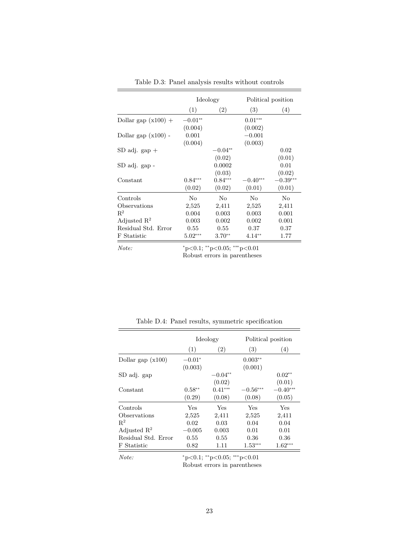|                         |           | Ideology                    | Political position |            |  |
|-------------------------|-----------|-----------------------------|--------------------|------------|--|
|                         | (1)       | (2)                         | (3)                | (4)        |  |
| Dollar gap $(x100) +$   | $-0.01**$ |                             | $0.01***$          |            |  |
|                         | (0.004)   |                             | (0.002)            |            |  |
| Dollar gap $(x100)$ -   | 0.001     |                             | $-0.001$           |            |  |
|                         | (0.004)   |                             | (0.003)            |            |  |
| $SD$ adj. $gap +$       |           | $-0.04**$                   |                    | 0.02       |  |
|                         |           | (0.02)                      |                    | (0.01)     |  |
| SD adj. gap -           |           | 0.0002                      |                    | 0.01       |  |
|                         |           | (0.03)                      |                    | (0.02)     |  |
| Constant                | $0.84***$ | $0.84***$                   | $-0.40***$         | $-0.39***$ |  |
|                         | (0.02)    | (0.02)                      | (0.01)             | (0.01)     |  |
| Controls                | No        | No                          | No                 | No         |  |
| Observations            | 2,525     | 2,411                       | 2,525              | 2,411      |  |
| $R^2$                   | 0.004     | 0.003                       | 0.003              | 0.001      |  |
| Adjusted $\mathbb{R}^2$ | 0.003     | 0.002                       | 0.002              | 0.001      |  |
| Residual Std. Error     | 0.55      | 0.55                        | 0.37               | 0.37       |  |
| F Statistic             | $5.02***$ | $3.70**$                    | $4.14**$           | 1.77       |  |
| Note:                   |           | *p<0.1; **p<0.05; ***p<0.01 |                    |            |  |

Table D.3: Panel analysis results without controls

Robust errors in parentheses

|                         | Ideology |           | Political position |                        |
|-------------------------|----------|-----------|--------------------|------------------------|
|                         | (1)      | (2)       | (3)                | (4)                    |
| Dollar gap $(x100)$     | $-0.01*$ |           | $0.003**$          |                        |
|                         | (0.003)  |           | (0.001)            |                        |
| SD adj. gap             |          | $-0.04**$ |                    | $0.02**$               |
|                         |          | (0.02)    |                    | (0.01)                 |
| Constant                | $0.58**$ | $0.41***$ | $-0.56***$         | $-0.40^{\ast\ast\ast}$ |
|                         | (0.29)   | (0.08)    | (0.08)             | (0.05)                 |
| Controls                | Yes      | Yes       | Yes                | Yes                    |
| Observations            | 2,525    | 2,411     | 2,525              | 2,411                  |
| $R^2$                   | 0.02     | 0.03      | 0.04               | 0.04                   |
| Adjusted $\mathbb{R}^2$ | $-0.005$ | 0.003     | 0.01               | 0.01                   |
| Residual Std. Error     | 0.55     | 0.55      | 0.36               | 0.36                   |
| F Statistic             | 0.82     | 1.11      | $1.53***$          | $1.62***$              |

Table D.4: Panel results, symmetric specification

*Note:* <sup>∗</sup>p<0.1; ∗∗p<0.05; ∗∗∗p<0.01 Robust errors in parentheses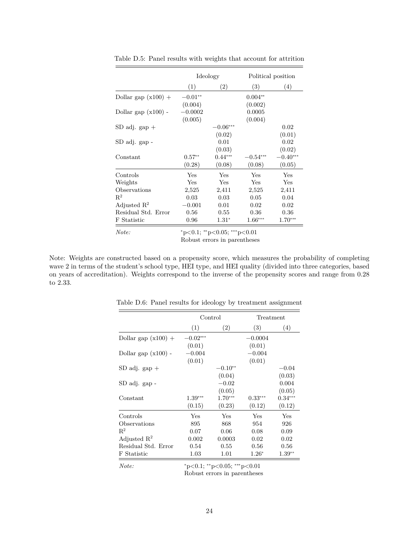|                         |           | Ideology          |            | Political position     |  |
|-------------------------|-----------|-------------------|------------|------------------------|--|
|                         | (1)       | $\left( 2\right)$ | (3)        | (4)                    |  |
| Dollar gap $(x100) +$   | $-0.01**$ |                   | $0.004**$  |                        |  |
|                         | (0.004)   |                   | (0.002)    |                        |  |
| Dollar gap $(x100)$ -   | $-0.0002$ |                   | 0.0005     |                        |  |
|                         | (0.005)   |                   | (0.004)    |                        |  |
| $SD$ adj. $gap +$       |           | $-0.06***$        |            | 0.02                   |  |
|                         |           | (0.02)            |            | (0.01)                 |  |
| SD adj. gap -           |           | 0.01              |            | 0.02                   |  |
|                         |           | (0.03)            |            | (0.02)                 |  |
| Constant                | $0.57**$  | $0.44***$         | $-0.54***$ | $-0.40^{\ast\ast\ast}$ |  |
|                         | (0.28)    | (0.08)            | (0.08)     | (0.05)                 |  |
| Controls                | Yes       | Yes               | Yes        | Yes                    |  |
| Weights                 | Yes       | Yes               | Yes        | Yes                    |  |
| Observations            | 2,525     | 2,411             | 2,525      | 2,411                  |  |
| $\mathrm{R}^2$          | 0.03      | 0.03              | 0.05       | 0.04                   |  |
| Adjusted $\mathbb{R}^2$ | $-0.001$  | 0.01              | 0.02       | 0.02                   |  |
| Residual Std. Error     | 0.56      | 0.55              | 0.36       | 0.36                   |  |
| F Statistic             | 0.96      | $1.31*$           | $1.66***$  | $1.70***$              |  |
| $\lambda T$ $\lambda$   |           | ***               | $\sim$ 0.1 |                        |  |

Table D.5: Panel results with weights that account for attrition

*Note:* \* *p*<0.1; \* *p*<0.05; \* \* *p*<0.01 Robust errors in parentheses

Note: Weights are constructed based on a propensity score, which measures the probability of completing wave 2 in terms of the student's school type, HEI type, and HEI quality (divided into three categories, based on years of accreditation). Weights correspond to the inverse of the propensity scores and range from 0.28 to 2.33.

|                         | Control    |           | Treatment |           |
|-------------------------|------------|-----------|-----------|-----------|
|                         | (1)        | (2)       | (3)       | (4)       |
| Dollar gap $(x100) +$   | $-0.02***$ |           | $-0.0004$ |           |
|                         | (0.01)     |           | (0.01)    |           |
| Dollar gap $(x100)$ -   | $-0.004$   |           | $-0.004$  |           |
|                         | (0.01)     |           | (0.01)    |           |
| $SD$ adj. $gap +$       |            | $-0.10**$ |           | $-0.04\,$ |
|                         |            | (0.04)    |           | (0.03)    |
| SD adj. gap -           |            | $-0.02$   |           | 0.004     |
|                         |            | (0.05)    |           | (0.05)    |
| Constant                | $1.39***$  | $1.70***$ | $0.33***$ | $0.34***$ |
|                         | (0.15)     | (0.23)    | (0.12)    | (0.12)    |
| Controls                | Yes        | Yes       | Yes       | Yes       |
| Observations            | 895        | 868       | 954       | 926       |
| $R^2$                   | 0.07       | 0.06      | 0.08      | 0.09      |
| Adjusted $\mathbb{R}^2$ | 0.002      | 0.0003    | 0.02      | 0.02      |
| Residual Std. Error     | 0.54       | 0.55      | 0.56      | 0.56      |
| F Statistic             | 1.03       | 1.01      | $1.26*$   | $1.39**$  |

Table D.6: Panel results for ideology by treatment assignment

*Note:* <sup>∗</sup>p<0.1; ∗∗p<0.05; ∗∗∗p<0.01 Robust errors in parentheses